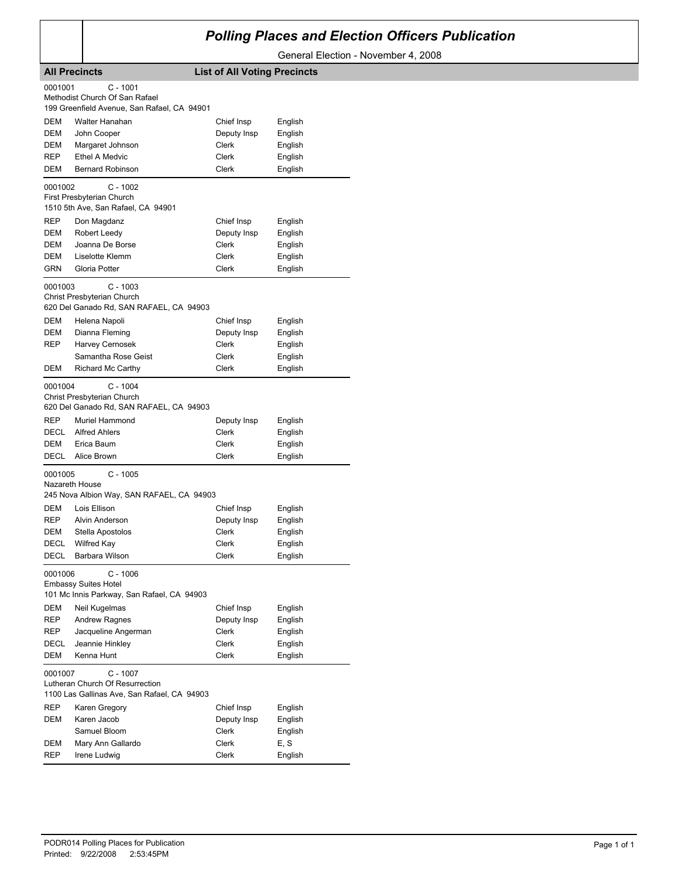## *Polling Places and Election Officers Publication*

General Election - November 4, 2008

|             | <b>All Precincts</b>                                                           | <b>List of All Voting Precincts</b> |                    |
|-------------|--------------------------------------------------------------------------------|-------------------------------------|--------------------|
| 0001001     | $C - 1001$                                                                     |                                     |                    |
|             | Methodist Church Of San Rafael                                                 |                                     |                    |
|             | 199 Greenfield Avenue, San Rafael, CA 94901                                    |                                     |                    |
| DEM         | Walter Hanahan                                                                 | Chief Insp                          | English            |
| DEM         | John Cooper                                                                    | Deputy Insp                         | English            |
| DEM         | Margaret Johnson                                                               | Clerk                               | English            |
| REP         | <b>Ethel A Medvic</b>                                                          | Clerk                               | English            |
| DEM         | <b>Bernard Robinson</b>                                                        | Clerk                               | English            |
| 0001002     | $C - 1002$                                                                     |                                     |                    |
|             | First Presbyterian Church                                                      |                                     |                    |
|             | 1510 5th Ave, San Rafael, CA 94901                                             |                                     |                    |
| REP         | Don Magdanz                                                                    | Chief Insp                          | English            |
| DEM<br>DEM  | Robert Leedy<br>Joanna De Borse                                                | Deputy Insp<br>Clerk                | English            |
| DEM         | Liselotte Klemm                                                                | Clerk                               | English<br>English |
| <b>GRN</b>  | Gloria Potter                                                                  | Clerk                               | English            |
|             |                                                                                |                                     |                    |
| 0001003     | $C - 1003$                                                                     |                                     |                    |
|             | Christ Presbyterian Church<br>620 Del Ganado Rd, SAN RAFAEL, CA 94903          |                                     |                    |
| DEM         | Helena Napoli                                                                  | Chief Insp                          | English            |
| DEM         | Dianna Fleming                                                                 | Deputy Insp                         | English            |
| REP         | Harvey Cernosek                                                                | Clerk                               | English            |
|             | Samantha Rose Geist                                                            | Clerk                               | English            |
| DEM         | <b>Richard Mc Carthy</b>                                                       | Clerk                               | English            |
| 0001004     | $C - 1004$                                                                     |                                     |                    |
|             | Christ Presbyterian Church                                                     |                                     |                    |
|             | 620 Del Ganado Rd, SAN RAFAEL, CA 94903                                        |                                     |                    |
| <b>REP</b>  | Muriel Hammond                                                                 | Deputy Insp                         | English            |
| <b>DECL</b> | <b>Alfred Ahlers</b>                                                           | Clerk                               | English            |
| DEM         | Erica Baum                                                                     | Clerk                               | English            |
| DECL        | Alice Brown                                                                    | Clerk                               | English            |
| 0001005     | $C - 1005$                                                                     |                                     |                    |
|             | Nazareth House                                                                 |                                     |                    |
|             | 245 Nova Albion Way, SAN RAFAEL, CA 94903                                      |                                     |                    |
| DEM         | Lois Ellison                                                                   | Chief Insp                          | English            |
| REP         | Alvin Anderson                                                                 | Deputy Insp                         | English            |
| DEM         | Stella Apostolos                                                               | Clerk                               | English            |
| DECL        | <b>Wilfred Kay</b>                                                             | Clerk                               | English            |
| DECL        | Barbara Wilson                                                                 | Clerk                               | English            |
| 0001006     | $C - 1006$                                                                     |                                     |                    |
|             | <b>Embassy Suites Hotel</b>                                                    |                                     |                    |
|             | 101 Mc Innis Parkway, San Rafael, CA 94903                                     |                                     |                    |
| DEM         | Neil Kugelmas                                                                  | Chief Insp                          | English            |
| REP         | <b>Andrew Ragnes</b>                                                           | Deputy Insp                         | English            |
| REP         | Jacqueline Angerman                                                            | Clerk                               | English            |
| DECL<br>DEM | Jeannie Hinkley<br>Kenna Hunt                                                  | Clerk<br>Clerk                      | English<br>English |
|             |                                                                                |                                     |                    |
| 0001007     | $C - 1007$                                                                     |                                     |                    |
|             | Lutheran Church Of Resurrection<br>1100 Las Gallinas Ave, San Rafael, CA 94903 |                                     |                    |
| REP         |                                                                                | Chief Insp                          |                    |
| DEM         | Karen Gregory<br>Karen Jacob                                                   | Deputy Insp                         | English<br>English |
|             | Samuel Bloom                                                                   | Clerk                               | English            |
| DEM         | Mary Ann Gallardo                                                              | Clerk                               | E, S               |
| REP         | Irene Ludwig                                                                   | Clerk                               | English            |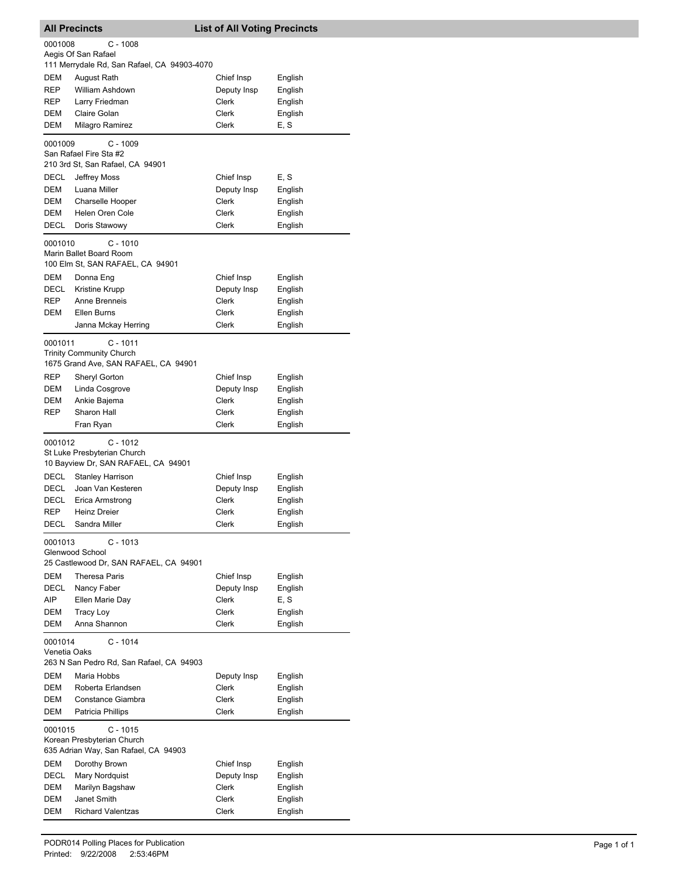|                    | <b>All Precincts</b>                                               | <b>List of All Voting Precincts</b> |                    |
|--------------------|--------------------------------------------------------------------|-------------------------------------|--------------------|
| 0001008            | C - 1008                                                           |                                     |                    |
|                    | Aegis Of San Rafael                                                |                                     |                    |
|                    | 111 Merrydale Rd, San Rafael, CA 94903-4070                        |                                     |                    |
| DEM                | August Rath                                                        | Chief Insp                          | English            |
| REP                | <b>William Ashdown</b>                                             | Deputy Insp                         | English            |
| <b>REP</b>         | Larry Friedman                                                     | <b>Clerk</b>                        | English            |
| DEM                | Claire Golan                                                       | Clerk                               | English            |
| DEM                | Milagro Ramirez                                                    | Clerk                               | E, S               |
|                    | $C - 1009$                                                         |                                     |                    |
| 0001009            | San Rafael Fire Sta #2                                             |                                     |                    |
|                    | 210 3rd St, San Rafael, CA 94901                                   |                                     |                    |
| DECL               | Jeffrey Moss                                                       | Chief Insp                          | E, S               |
| DEM                | Luana Miller                                                       | Deputy Insp                         | English            |
| DEM                | Charselle Hooper                                                   | Clerk                               | English            |
| DEM                | Helen Oren Cole                                                    | Clerk                               | English            |
| DECL               | Doris Stawowy                                                      | Clerk                               | English            |
|                    |                                                                    |                                     |                    |
| 0001010            | $C - 1010$<br>Marin Ballet Board Room                              |                                     |                    |
|                    | 100 Elm St, SAN RAFAEL, CA 94901                                   |                                     |                    |
|                    |                                                                    |                                     |                    |
| DEM<br><b>DECL</b> | Donna Eng<br><b>Kristine Krupp</b>                                 | Chief Insp                          | English            |
| REP                | Anne Brenneis                                                      | Deputy Insp<br>Clerk                | English            |
|                    | Ellen Burns                                                        | Clerk                               | English            |
| DEM                | Janna Mckay Herring                                                | Clerk                               | English<br>English |
|                    |                                                                    |                                     |                    |
| 0001011            | $C - 1011$                                                         |                                     |                    |
|                    | <b>Trinity Community Church</b>                                    |                                     |                    |
|                    | 1675 Grand Ave, SAN RAFAEL, CA 94901                               |                                     |                    |
| REP                | Sheryl Gorton                                                      | Chief Insp                          | English            |
| DEM                | Linda Cosgrove                                                     | Deputy Insp                         | English            |
| DEM                | Ankie Bajema                                                       | Clerk                               | English            |
| REP                | Sharon Hall                                                        | Clerk                               | English            |
|                    | Fran Ryan                                                          | Clerk                               | English            |
| 0001012            | $C - 1012$                                                         |                                     |                    |
|                    | St Luke Presbyterian Church                                        |                                     |                    |
|                    | 10 Bayview Dr, SAN RAFAEL, CA 94901                                |                                     |                    |
| DECL               | <b>Stanley Harrison</b>                                            | Chief Insp                          | English            |
| DECL               | Joan Van Kesteren                                                  | Deputy Insp                         | English            |
| DECL               | Erica Armstrong                                                    | Clerk                               | English            |
| REP                | Heinz Dreier                                                       | Clerk                               | English            |
| <b>DECL</b>        | Sandra Miller                                                      | Clerk                               | English            |
| 0001013            | $C - 1013$                                                         |                                     |                    |
|                    | Glenwood School                                                    |                                     |                    |
|                    | 25 Castlewood Dr, SAN RAFAEL, CA 94901                             |                                     |                    |
| DEM                | <b>Theresa Paris</b>                                               | Chief Insp                          | English            |
| DECL               | Nancy Faber                                                        | Deputy Insp                         | English            |
| AIP                | Ellen Marie Day                                                    | Clerk                               | E, S               |
| DEM                | <b>Tracy Loy</b>                                                   | Clerk                               | English            |
| DEM                | Anna Shannon                                                       | Clerk                               | English            |
| 0001014            | $C - 1014$                                                         |                                     |                    |
| Venetia Oaks       |                                                                    |                                     |                    |
|                    | 263 N San Pedro Rd, San Rafael, CA 94903                           |                                     |                    |
| DEM                | Maria Hobbs                                                        | Deputy Insp                         | English            |
| DEM                | Roberta Erlandsen                                                  | Clerk                               | English            |
| DEM                | Constance Giambra                                                  | Clerk                               | English            |
| DEM                | Patricia Phillips                                                  | Clerk                               | English            |
|                    |                                                                    |                                     |                    |
| 0001015            | $C - 1015$                                                         |                                     |                    |
|                    | Korean Presbyterian Church<br>635 Adrian Way, San Rafael, CA 94903 |                                     |                    |
| DEM                | Dorothy Brown                                                      | Chief Insp                          |                    |
| DECL               | Mary Nordquist                                                     | Deputy Insp                         | English<br>English |
| DEM                | Marilyn Bagshaw                                                    | Clerk                               | English            |
| DEM                | Janet Smith                                                        | Clerk                               | English            |
| DEM                | <b>Richard Valentzas</b>                                           | Clerk                               | English            |
|                    |                                                                    |                                     |                    |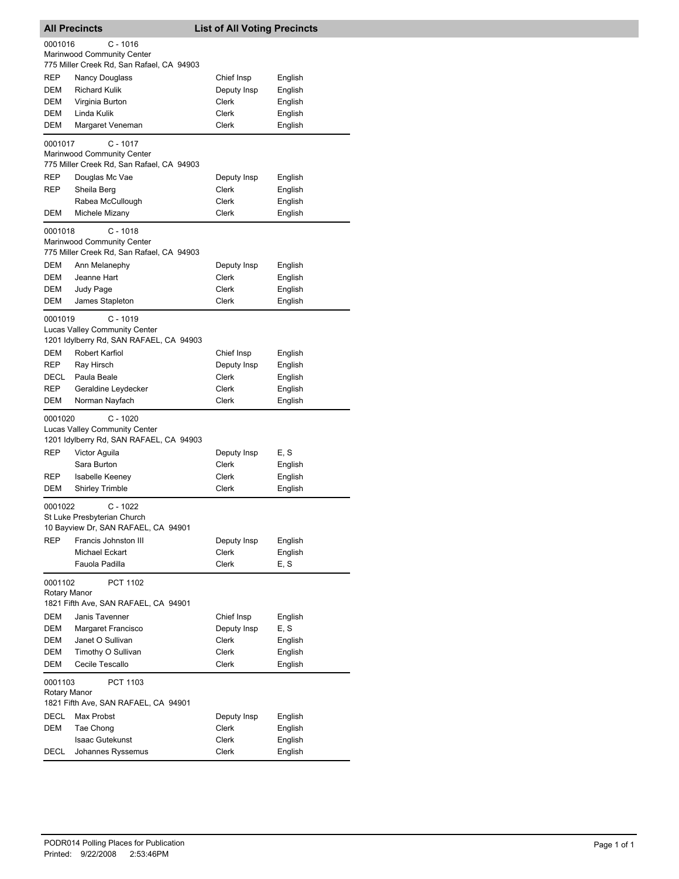| <b>All Precincts</b>    |                                                                                               | <b>List of All Voting Precincts</b> |         |  |
|-------------------------|-----------------------------------------------------------------------------------------------|-------------------------------------|---------|--|
| 0001016                 | $C - 1016$                                                                                    |                                     |         |  |
|                         | Marinwood Community Center                                                                    |                                     |         |  |
|                         | 775 Miller Creek Rd, San Rafael, CA 94903                                                     |                                     |         |  |
| REP                     | Nancy Douglass                                                                                | Chief Insp                          | English |  |
| DEM                     | <b>Richard Kulik</b>                                                                          | Deputy Insp                         | English |  |
| DEM                     | Virginia Burton                                                                               | Clerk                               | English |  |
| DEM                     | Linda Kulik                                                                                   | Clerk                               | English |  |
| DEM                     | Margaret Veneman                                                                              | Clerk                               | English |  |
| 0001017                 | $C - 1017$<br>Marinwood Community Center<br>775 Miller Creek Rd, San Rafael, CA 94903         |                                     |         |  |
| REP                     | Douglas Mc Vae                                                                                | Deputy Insp                         | English |  |
| REP                     | Sheila Berg                                                                                   | Clerk                               | English |  |
|                         | Rabea McCullough                                                                              | Clerk                               | English |  |
| DEM                     | Michele Mizany                                                                                | Clerk                               | English |  |
| 0001018                 | $C - 1018$<br>Marinwood Community Center<br>775 Miller Creek Rd, San Rafael, CA 94903         |                                     |         |  |
| DEM                     | Ann Melanephy                                                                                 | Deputy Insp                         | English |  |
| DEM                     | Jeanne Hart                                                                                   | Clerk                               | English |  |
| DEM                     | Judy Page                                                                                     | Clerk                               | English |  |
| DEM                     | James Stapleton                                                                               | Clerk                               | English |  |
| 0001019                 | $C - 1019$<br><b>Lucas Valley Community Center</b><br>1201 Idylberry Rd, SAN RAFAEL, CA 94903 |                                     |         |  |
| DEM                     | Robert Karfiol                                                                                | Chief Insp                          | English |  |
| REP                     | Ray Hirsch                                                                                    | Deputy Insp                         | English |  |
| DECL                    | Paula Beale                                                                                   | Clerk                               | English |  |
| REP                     | Geraldine Leydecker                                                                           | Clerk                               | English |  |
| DEM                     | Norman Nayfach                                                                                | Clerk                               | English |  |
| 0001020                 | $C - 1020$<br><b>Lucas Valley Community Center</b><br>1201 Idylberry Rd, SAN RAFAEL, CA 94903 |                                     |         |  |
| REP                     | Victor Aguila                                                                                 | Deputy Insp                         | E, S    |  |
|                         | Sara Burton                                                                                   | <b>Clerk</b>                        | English |  |
| <b>REP</b>              | <b>Isabelle Keeney</b>                                                                        | Clerk                               | English |  |
| DEM                     | <b>Shirley Trimble</b>                                                                        | Clerk                               | English |  |
| 0001022                 | $C - 1022$<br>St Luke Presbyterian Church<br>10 Bayview Dr, SAN RAFAEL, CA 94901              |                                     |         |  |
| <b>REP</b>              | Francis Johnston III                                                                          | Deputy Insp                         | English |  |
|                         | Michael Eckart                                                                                | Clerk                               | English |  |
|                         | Fauola Padilla                                                                                | Clerk                               | E, S    |  |
| 0001102<br>Rotary Manor | PCT 1102<br>1821 Fifth Ave, SAN RAFAEL, CA 94901                                              |                                     |         |  |
| DEM                     | Janis Tavenner                                                                                | Chief Insp                          | English |  |
| DEM                     | Margaret Francisco                                                                            | Deputy Insp                         | E, S    |  |
| <b>DEM</b>              | Janet O Sullivan                                                                              | Clerk                               | English |  |
| DEM                     | Timothy O Sullivan                                                                            | Clerk                               | English |  |
| DEM                     | Cecile Tescallo                                                                               | <b>Clerk</b>                        | English |  |
| 0001103<br>Rotary Manor | PCT 1103                                                                                      |                                     |         |  |
|                         | 1821 Fifth Ave, SAN RAFAEL, CA 94901                                                          |                                     |         |  |
| <b>DECL</b>             | Max Probst                                                                                    | Deputy Insp                         | English |  |
| DEM                     | Tae Chong                                                                                     | Clerk                               | English |  |
|                         | <b>Isaac Gutekunst</b>                                                                        | Clerk                               | English |  |
| DECL                    | Johannes Ryssemus                                                                             | Clerk                               | English |  |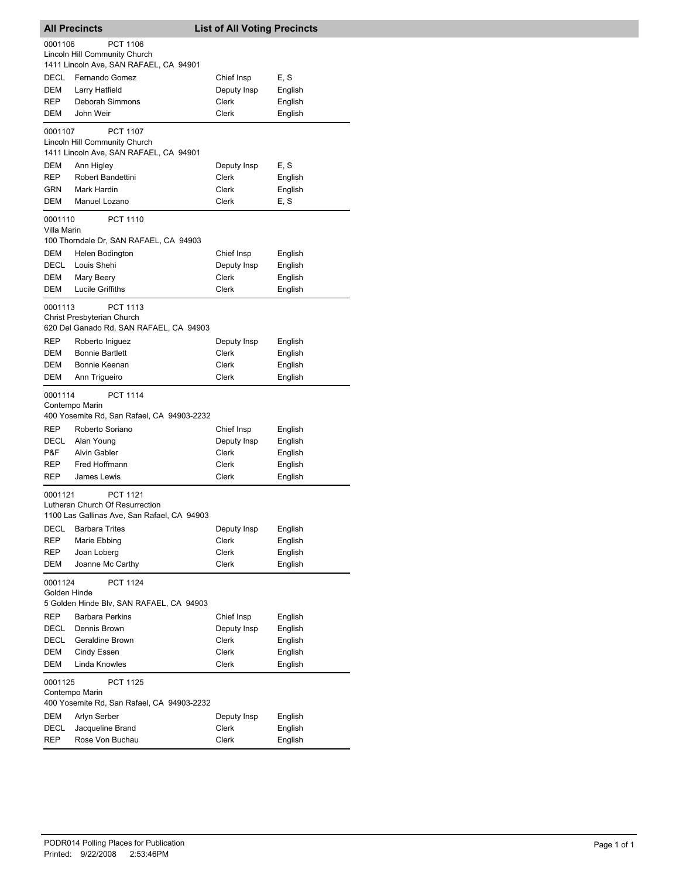|                         | <b>All Precincts</b>                                                                       | <b>List of All Voting Precincts</b> |                    |  |  |
|-------------------------|--------------------------------------------------------------------------------------------|-------------------------------------|--------------------|--|--|
| 0001106                 | <b>PCT 1106</b>                                                                            |                                     |                    |  |  |
|                         | Lincoln Hill Community Church                                                              |                                     |                    |  |  |
|                         | 1411 Lincoln Ave, SAN RAFAEL, CA 94901                                                     |                                     |                    |  |  |
| DECL                    | Fernando Gomez                                                                             | Chief Insp                          | E, S               |  |  |
| DEM<br><b>REP</b>       | Larry Hatfield<br>Deborah Simmons                                                          | Deputy Insp<br>Clerk                | English<br>English |  |  |
| DEM                     | John Weir                                                                                  | Clerk                               | English            |  |  |
|                         |                                                                                            |                                     |                    |  |  |
| 0001107                 | <b>PCT 1107</b><br>Lincoln Hill Community Church                                           |                                     |                    |  |  |
|                         | 1411 Lincoln Ave, SAN RAFAEL, CA 94901                                                     |                                     |                    |  |  |
| DEM                     | Ann Higley                                                                                 | Deputy Insp                         | E, S               |  |  |
| REP                     | Robert Bandettini                                                                          | Clerk                               | English            |  |  |
| GRN                     | Mark Hardin                                                                                | Clerk                               | English            |  |  |
| DEM                     | Manuel Lozano                                                                              | Clerk                               | E, S               |  |  |
| 0001110<br>Villa Marin  | <b>PCT 1110</b>                                                                            |                                     |                    |  |  |
|                         | 100 Thorndale Dr, SAN RAFAEL, CA 94903                                                     |                                     |                    |  |  |
| DEM                     | Helen Bodington                                                                            | Chief Insp                          | English            |  |  |
| DECL                    | Louis Shehi                                                                                | Deputy Insp                         | English            |  |  |
| DEM                     | Mary Beery                                                                                 | Clerk                               | English            |  |  |
| DEM                     | <b>Lucile Griffiths</b>                                                                    | <b>Clerk</b>                        | English            |  |  |
| 0001113                 | <b>PCT 1113</b>                                                                            |                                     |                    |  |  |
|                         | Christ Presbyterian Church<br>620 Del Ganado Rd, SAN RAFAEL, CA 94903                      |                                     |                    |  |  |
| <b>REP</b>              | Roberto Iniguez                                                                            | Deputy Insp                         | English            |  |  |
| DEM                     | <b>Bonnie Bartlett</b>                                                                     | Clerk                               | English            |  |  |
| DEM                     | Bonnie Keenan                                                                              | Clerk                               | English            |  |  |
| DEM                     | Ann Trigueiro                                                                              | Clerk                               | English            |  |  |
| 0001114                 | <b>PCT 1114</b>                                                                            |                                     |                    |  |  |
|                         | Contempo Marin<br>400 Yosemite Rd, San Rafael, CA 94903-2232                               |                                     |                    |  |  |
| REP                     | Roberto Soriano                                                                            | Chief Insp                          | English            |  |  |
| DECL                    | Alan Young                                                                                 | Deputy Insp                         | English            |  |  |
| P&F                     | <b>Alvin Gabler</b>                                                                        | Clerk                               | English            |  |  |
| REP                     | Fred Hoffmann                                                                              | <b>Clerk</b>                        | English            |  |  |
| REP                     | James Lewis                                                                                | Clerk                               | English            |  |  |
| 0001121                 | <b>PCT 1121</b><br>Lutheran Church Of Resurrection                                         |                                     |                    |  |  |
|                         | 1100 Las Gallinas Ave, San Rafael, CA 94903                                                |                                     |                    |  |  |
| DECL                    | <b>Barbara Trites</b>                                                                      | Deputy Insp                         | English            |  |  |
| REP                     | Marie Ebbing                                                                               | Clerk                               | English            |  |  |
| REP                     | Joan Loberg                                                                                | Clerk                               | English            |  |  |
| DEM                     | Joanne Mc Carthy                                                                           | Clerk                               | English            |  |  |
| 0001124<br>Golden Hinde | <b>PCT 1124</b>                                                                            |                                     |                    |  |  |
|                         | 5 Golden Hinde Blv, SAN RAFAEL, CA 94903                                                   |                                     |                    |  |  |
| REP                     | <b>Barbara Perkins</b>                                                                     | Chief Insp                          | English            |  |  |
| <b>DECL</b>             | Dennis Brown                                                                               | Deputy Insp                         | English            |  |  |
| DECL                    | Geraldine Brown                                                                            | Clerk                               | English            |  |  |
| DEM                     | Cindy Essen                                                                                | Clerk                               | English            |  |  |
| DEM                     | Linda Knowles                                                                              | <b>Clerk</b>                        | English            |  |  |
|                         | 0001125<br><b>PCT 1125</b><br>Contempo Marin<br>400 Yosemite Rd, San Rafael, CA 94903-2232 |                                     |                    |  |  |
| DEM                     | Arlyn Serber                                                                               | Deputy Insp                         | English            |  |  |
| DECL                    | Jacqueline Brand                                                                           | Clerk                               | English            |  |  |
| REP                     | Rose Von Buchau                                                                            | Clerk                               | English            |  |  |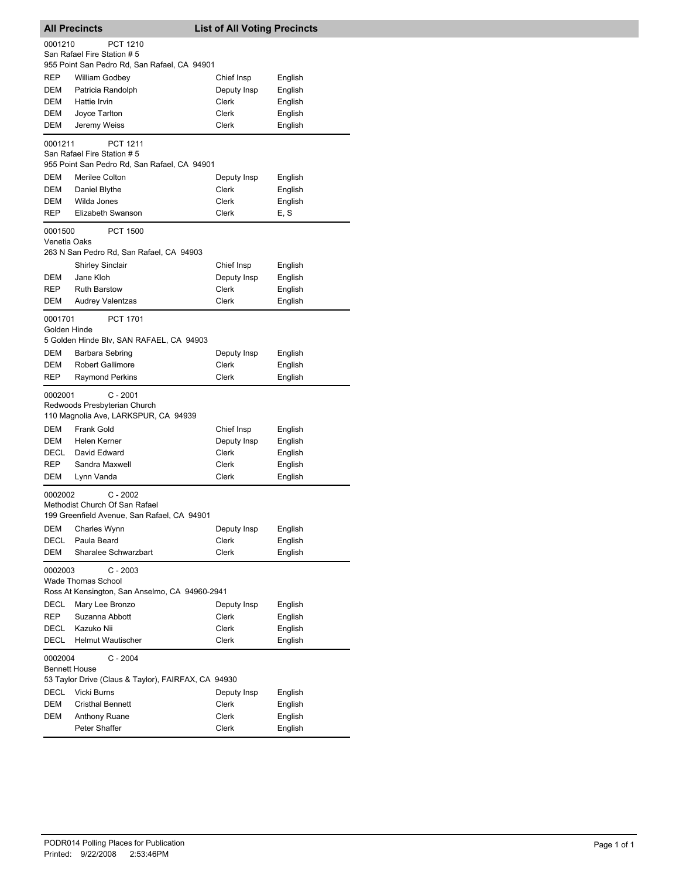|                         | All Precincts                                       | <b>List of All Voting Precincts</b> |         |
|-------------------------|-----------------------------------------------------|-------------------------------------|---------|
| 0001210                 | PCT 1210                                            |                                     |         |
|                         | San Rafael Fire Station #5                          |                                     |         |
|                         | 955 Point San Pedro Rd, San Rafael, CA 94901        |                                     |         |
| REP                     | William Godbey                                      | Chief Insp                          | English |
| DEM                     | Patricia Randolph                                   | Deputy Insp                         | English |
| DEM                     | Hattie Irvin                                        | Clerk                               | English |
| DEM                     | Joyce Tarlton                                       | <b>Clerk</b>                        | English |
| DEM                     | Jeremy Weiss                                        | Clerk                               | English |
| 0001211                 | <b>PCT 1211</b>                                     |                                     |         |
|                         | San Rafael Fire Station # 5                         |                                     |         |
|                         | 955 Point San Pedro Rd, San Rafael, CA 94901        |                                     |         |
| DEM                     | Merilee Colton                                      | Deputy Insp                         | English |
| DEM                     | Daniel Blythe                                       | Clerk                               | English |
| DEM                     | Wilda Jones<br>Elizabeth Swanson                    | Clerk                               | English |
| REP                     |                                                     | Clerk                               | E, S    |
| 0001500                 | <b>PCT 1500</b>                                     |                                     |         |
| Venetia Oaks            | 263 N San Pedro Rd, San Rafael, CA 94903            |                                     |         |
|                         | <b>Shirley Sinclair</b>                             | Chief Insp                          | English |
| DEM                     | Jane Kloh                                           | Deputy Insp                         | English |
| REP                     | <b>Ruth Barstow</b>                                 | Clerk                               | English |
| DEM                     | <b>Audrey Valentzas</b>                             | <b>Clerk</b>                        | English |
|                         |                                                     |                                     |         |
| 0001701<br>Golden Hinde | <b>PCT 1701</b>                                     |                                     |         |
|                         | 5 Golden Hinde Blv, SAN RAFAEL, CA 94903            |                                     |         |
| DEM                     | Barbara Sebring                                     | Deputy Insp                         | English |
| <b>DEM</b>              | Robert Gallimore                                    | <b>Clerk</b>                        | English |
| REP                     | Raymond Perkins                                     | Clerk                               | English |
|                         |                                                     |                                     |         |
| 0002001                 | $C - 2001$<br>Redwoods Presbyterian Church          |                                     |         |
|                         | 110 Magnolia Ave, LARKSPUR, CA 94939                |                                     |         |
| DEM                     | <b>Frank Gold</b>                                   | Chief Insp                          | English |
| DEM                     | Helen Kerner                                        | Deputy Insp                         | English |
| DECL                    | David Edward                                        | Clerk                               | English |
| REP                     | Sandra Maxwell                                      | Clerk                               | English |
| DEM                     | Lynn Vanda                                          | Clerk                               | English |
| 0002002                 | $C - 2002$                                          |                                     |         |
|                         | Methodist Church Of San Rafael                      |                                     |         |
|                         | 199 Greenfield Avenue, San Rafael, CA 94901         |                                     |         |
| DEM                     | Charles Wynn                                        | Deputy Insp                         | English |
| DECL                    | Paula Beard                                         | Clerk                               | English |
| DEM                     | Sharalee Schwarzbart                                | Clerk                               | English |
| 0002003                 | $C - 2003$                                          |                                     |         |
|                         | <b>Wade Thomas School</b>                           |                                     |         |
|                         | Ross At Kensington, San Anselmo, CA 94960-2941      |                                     |         |
| DECL                    | Mary Lee Bronzo                                     | Deputy Insp                         | English |
| REP                     | Suzanna Abbott                                      | Clerk                               | English |
| DECL                    | Kazuko Nii                                          | Clerk                               | English |
| DECL                    | Helmut Wautischer                                   | <b>Clerk</b>                        | English |
| 0002004                 | $C - 2004$                                          |                                     |         |
| Bennett House           |                                                     |                                     |         |
|                         | 53 Taylor Drive (Claus & Taylor), FAIRFAX, CA 94930 |                                     |         |
| DECL                    | Vicki Burns                                         | Deputy Insp                         | English |
| DEM                     | <b>Cristhal Bennett</b>                             | Clerk                               | English |
| DEM                     | Anthony Ruane                                       | Clerk                               | English |
|                         | Peter Shaffer                                       | Clerk                               | English |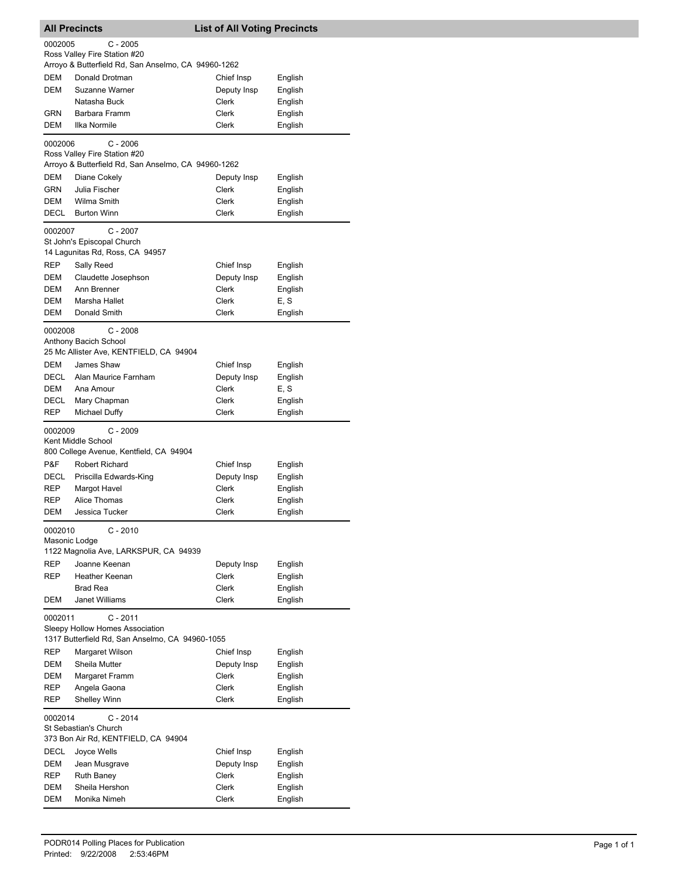| <b>All Precincts</b> |                                                                                     | <b>List of All Voting Precincts</b> |         |
|----------------------|-------------------------------------------------------------------------------------|-------------------------------------|---------|
| 0002005              | $C - 2005$                                                                          |                                     |         |
|                      | Ross Valley Fire Station #20<br>Arroyo & Butterfield Rd, San Anselmo, CA 94960-1262 |                                     |         |
| DEM                  | Donald Drotman                                                                      | Chief Insp                          | English |
| DEM                  | Suzanne Warner                                                                      | Deputy Insp                         | English |
|                      | Natasha Buck                                                                        | Clerk                               | English |
| GRN                  | Barbara Framm                                                                       | Clerk                               | English |
| DEM                  | Ilka Normile                                                                        | Clerk                               | English |
| 0002006              | $C - 2006$                                                                          |                                     |         |
|                      | Ross Valley Fire Station #20<br>Arroyo & Butterfield Rd, San Anselmo, CA 94960-1262 |                                     |         |
| DEM                  | Diane Cokely                                                                        | Deputy Insp                         | English |
| GRN                  | Julia Fischer                                                                       | Clerk                               | English |
| DEM                  | Wilma Smith                                                                         | Clerk                               | English |
| DECL                 | <b>Burton Winn</b>                                                                  | Clerk                               | English |
| 0002007              | $C - 2007$                                                                          |                                     |         |
|                      | St John's Episcopal Church<br>14 Lagunitas Rd, Ross, CA 94957                       |                                     |         |
| <b>REP</b>           | Sally Reed                                                                          | Chief Insp                          | English |
| DEM                  | Claudette Josephson                                                                 | Deputy Insp                         | English |
| DEM                  | Ann Brenner                                                                         | <b>Clerk</b>                        | English |
| DEM                  | Marsha Hallet                                                                       | Clerk                               | E, S    |
| DEM                  | Donald Smith                                                                        | Clerk                               | English |
| 0002008              | $C - 2008$                                                                          |                                     |         |
|                      | Anthony Bacich School<br>25 Mc Allister Ave, KENTFIELD, CA 94904                    |                                     |         |
| DEM                  | James Shaw                                                                          | Chief Insp                          | English |
| DECL                 | Alan Maurice Farnham                                                                | Deputy Insp                         | English |
| DEM                  | Ana Amour                                                                           | Clerk                               | E, S    |
| DECL                 | Mary Chapman                                                                        | Clerk                               | English |
| REP                  | Michael Duffy                                                                       | Clerk                               | English |
| 0002009              | $C - 2009$                                                                          |                                     |         |
|                      | Kent Middle School<br>800 College Avenue, Kentfield, CA 94904                       |                                     |         |
| P&F                  | <b>Robert Richard</b>                                                               | Chief Insp                          | English |
| DECL                 | Priscilla Edwards-King                                                              | Deputy Insp                         | English |
| REP                  | Margot Havel                                                                        | Clerk                               | English |
| REP                  | Alice Thomas                                                                        | Clerk                               | English |
| DEM                  | Jessica Tucker                                                                      | Clerk                               | English |
| 0002010              | $C - 2010$<br>Masonic Lodge                                                         |                                     |         |
|                      | 1122 Magnolia Ave, LARKSPUR, CA 94939                                               |                                     |         |
| REP                  | Joanne Keenan                                                                       | Deputy Insp                         | English |
| REP                  | Heather Keenan                                                                      | Clerk                               | English |
|                      | <b>Brad Rea</b>                                                                     | Clerk                               | English |
| DEM                  | <b>Janet Williams</b>                                                               | Clerk                               | English |
| 0002011              | $C - 2011$                                                                          |                                     |         |
|                      | Sleepy Hollow Homes Association<br>1317 Butterfield Rd, San Anselmo, CA 94960-1055  |                                     |         |
| REP                  | Margaret Wilson                                                                     | Chief Insp                          | English |
| DEM                  | Sheila Mutter                                                                       | Deputy Insp                         | English |
| DEM                  | Margaret Framm                                                                      | Clerk                               | English |
| REP                  | Angela Gaona                                                                        | Clerk                               | English |
| REP                  | Shelley Winn                                                                        | Clerk                               | English |
| 0002014              | $C - 2014$                                                                          |                                     |         |
|                      | St Sebastian's Church<br>373 Bon Air Rd, KENTFIELD, CA 94904                        |                                     |         |
| DECL                 | Joyce Wells                                                                         | Chief Insp                          | English |
| DEM                  | Jean Musgrave                                                                       | Deputy Insp                         | English |
| REP                  | <b>Ruth Baney</b>                                                                   | <b>Clerk</b>                        | English |
| DEM                  | Sheila Hershon                                                                      | <b>Clerk</b>                        | English |
| DEM                  | Monika Nimeh                                                                        | Clerk                               | English |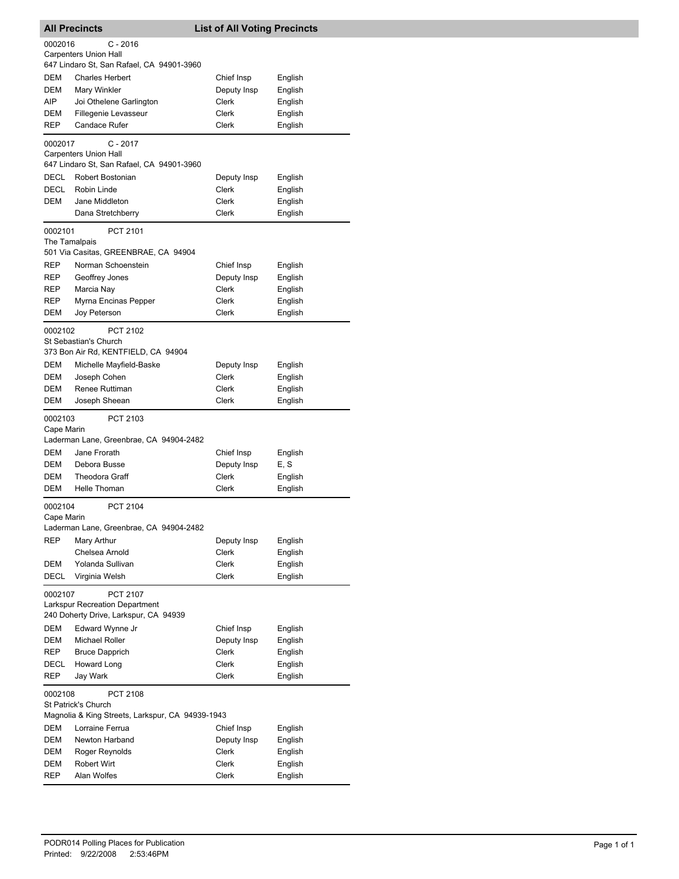| <b>All Precincts</b>     |                                                              | <b>List of All Voting Precincts</b> |                 |
|--------------------------|--------------------------------------------------------------|-------------------------------------|-----------------|
| 0002016                  | $C - 2016$                                                   |                                     |                 |
|                          | <b>Carpenters Union Hall</b>                                 |                                     |                 |
|                          | 647 Lindaro St, San Rafael, CA 94901-3960                    |                                     |                 |
| DEM                      | <b>Charles Herbert</b>                                       | Chief Insp                          | English         |
| DEM                      | Mary Winkler                                                 | Deputy Insp                         | English         |
| AIP                      | Joi Othelene Garlington                                      | Clerk                               | English         |
| DEM                      | Fillegenie Levasseur                                         | Clerk                               | English         |
| REP                      | <b>Candace Rufer</b>                                         | Clerk                               | English         |
| 0002017                  | $C - 2017$<br><b>Carpenters Union Hall</b>                   |                                     |                 |
|                          | 647 Lindaro St, San Rafael, CA 94901-3960                    |                                     |                 |
| DECL                     | Robert Bostonian                                             | Deputy Insp                         | English         |
| <b>DECL</b>              | Robin Linde                                                  | Clerk                               | English         |
| DEM                      | Jane Middleton                                               | Clerk                               | English         |
|                          | Dana Stretchberry                                            | Clerk                               | English         |
| 0002101<br>The Tamalpais | PCT 2101                                                     |                                     |                 |
|                          | 501 Via Casitas, GREENBRAE, CA 94904                         |                                     |                 |
| REP                      | Norman Schoenstein                                           | Chief Insp                          | English         |
| REP                      | Geoffrey Jones                                               | Deputy Insp                         | English         |
| REP                      | Marcia Nay                                                   | Clerk                               | English         |
| REP                      | Myrna Encinas Pepper                                         | Clerk                               | English         |
| DEM                      | Joy Peterson                                                 | Clerk                               | English         |
| 0002102                  | PCT 2102                                                     |                                     |                 |
|                          | St Sebastian's Church<br>373 Bon Air Rd, KENTFIELD, CA 94904 |                                     |                 |
| DEM                      | Michelle Mayfield-Baske                                      | Deputy Insp                         | English         |
| DEM                      | Joseph Cohen                                                 | Clerk                               | English         |
| DEM                      | Renee Ruttiman                                               | Clerk                               | English         |
| DEM                      | Joseph Sheean                                                | Clerk                               | English         |
| 0002103                  | PCT 2103                                                     |                                     |                 |
| Cape Marin               | Laderman Lane, Greenbrae, CA 94904-2482                      |                                     |                 |
| <b>DEM</b>               | Jane Frorath                                                 |                                     |                 |
| DEM                      | Debora Busse                                                 | Chief Insp<br>Deputy Insp           | English<br>E, S |
| DEM                      | <b>Theodora Graff</b>                                        | Clerk                               | English         |
| DEM                      | Helle Thoman                                                 | Clerk                               |                 |
|                          |                                                              |                                     | English         |
| 0002104<br>Cape Marin    | <b>PCT 2104</b>                                              |                                     |                 |
|                          | Laderman Lane, Greenbrae, CA 94904-2482                      |                                     |                 |
| <b>REP</b>               | Mary Arthur                                                  | Deputy Insp                         | English         |
|                          | Chelsea Arnold                                               | Clerk                               | English         |
| DEM                      | Yolanda Sullivan                                             | Clerk                               | English         |
| DECL                     | Virginia Welsh                                               | Clerk                               | English         |
| 0002107                  | PCT 2107                                                     |                                     |                 |
|                          | <b>Larkspur Recreation Department</b>                        |                                     |                 |
|                          | 240 Doherty Drive, Larkspur, CA 94939                        |                                     |                 |
| DEM                      | Edward Wynne Jr                                              | Chief Insp                          | English         |
| <b>DEM</b>               | <b>Michael Roller</b>                                        | Deputy Insp                         | English         |
| REP                      | <b>Bruce Dapprich</b>                                        | Clerk                               | English         |
| DECL                     | <b>Howard Long</b>                                           | Clerk                               | English         |
| REP                      | Jay Wark                                                     | Clerk                               | English         |
| 0002108                  | PCT 2108<br>St Patrick's Church                              |                                     |                 |
|                          | Magnolia & King Streets, Larkspur, CA 94939-1943             |                                     |                 |
| DEM                      | Lorraine Ferrua                                              | Chief Insp                          | English         |
| <b>DEM</b>               | Newton Harband                                               | Deputy Insp                         | English         |
| DEM                      | Roger Reynolds                                               | Clerk                               | English         |
| DEM                      | Robert Wirt                                                  | Clerk                               | English         |
| REP                      | Alan Wolfes                                                  | Clerk                               | English         |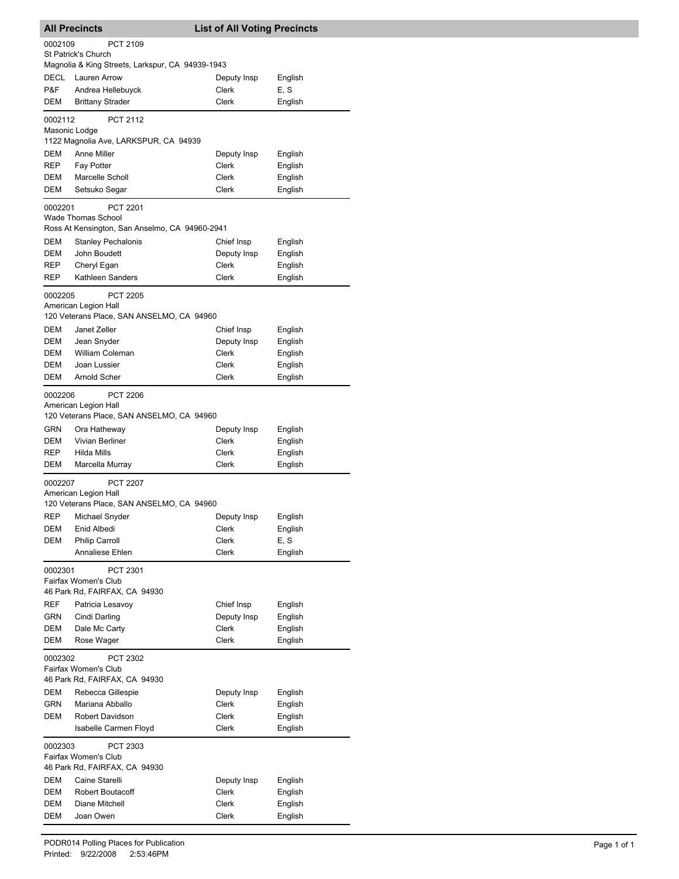|               | <b>All Precincts</b>                             | <b>List of All Voting Precincts</b> |         |
|---------------|--------------------------------------------------|-------------------------------------|---------|
| 0002109       | PCT 2109                                         |                                     |         |
|               | <b>St Patrick's Church</b>                       |                                     |         |
|               | Magnolia & King Streets, Larkspur, CA 94939-1943 |                                     |         |
| DECL          | Lauren Arrow                                     | Deputy Insp                         | English |
| P&F           | Andrea Hellebuyck                                | Clerk                               | E, S    |
| DEM           | <b>Brittany Strader</b>                          | <b>Clerk</b>                        | English |
| 0002112       | <b>PCT 2112</b>                                  |                                     |         |
| Masonic Lodge |                                                  |                                     |         |
|               | 1122 Magnolia Ave, LARKSPUR, CA 94939            |                                     |         |
| DEM           | Anne Miller                                      | Deputy Insp                         | English |
| REP           | <b>Fay Potter</b>                                | Clerk                               | English |
| DEM           | Marcelle Scholl                                  | Clerk                               | English |
| DEM           | Setsuko Segar                                    | Clerk                               | English |
| 0002201       | <b>PCT 2201</b>                                  |                                     |         |
|               | Wade Thomas School                               |                                     |         |
|               | Ross At Kensington, San Anselmo, CA 94960-2941   |                                     |         |
| DEM           | <b>Stanley Pechalonis</b>                        | Chief Insp                          | English |
| DEM           | John Boudett                                     | Deputy Insp                         | English |
| REP           | Cheryl Egan                                      | Clerk                               | English |
| REP           | Kathleen Sanders                                 | Clerk                               | English |
| 0002205       | <b>PCT 2205</b>                                  |                                     |         |
|               | American Legion Hall                             |                                     |         |
|               | 120 Veterans Place, SAN ANSELMO, CA 94960        |                                     |         |
| DEM           | Janet Zeller                                     | Chief Insp                          | English |
| DEM           | Jean Snyder                                      | Deputy Insp                         | English |
| DEM           | William Coleman                                  | Clerk                               | English |
| DEM           | Joan Lussier                                     | Clerk                               | English |
| DEM           | Arnold Scher                                     | Clerk                               | English |
| 0002206       | <b>PCT 2206</b>                                  |                                     |         |
|               | American Legion Hall                             |                                     |         |
|               | 120 Veterans Place, SAN ANSELMO, CA 94960        |                                     |         |
| GRN           | Ora Hatheway                                     | Deputy Insp                         | English |
| DEM           | Vivian Berliner                                  | Clerk                               | English |
| REP           | Hilda Mills                                      | Clerk                               | English |
| DEM           | Marcella Murray                                  | Clerk                               | English |
| 0002207       | <b>PCT 2207</b>                                  |                                     |         |
|               | American Legion Hall                             |                                     |         |
|               | 120 Veterans Place, SAN ANSELMO, CA 94960        |                                     |         |
| <b>REP</b>    | Michael Snyder                                   | Deputy Insp                         | English |
| DEM           | Enid Albedi                                      | Clerk                               | English |
| DEM           | <b>Philip Carroll</b>                            | Clerk                               | E, S    |
|               | Annaliese Ehlen                                  | Clerk                               | English |
| 0002301       | PCT 2301                                         |                                     |         |
|               | Fairfax Women's Club                             |                                     |         |
|               | 46 Park Rd, FAIRFAX, CA 94930                    |                                     |         |
| REF           | Patricia Lesavoy                                 | Chief Insp                          | English |
| GRN           | Cindi Darling                                    | Deputy Insp                         | English |
| DEM           | Dale Mc Carty                                    | <b>Clerk</b>                        | English |
| DEM           | Rose Wager                                       | Clerk                               | English |
| 0002302       | PCT 2302                                         |                                     |         |
|               | Fairfax Women's Club                             |                                     |         |
|               | 46 Park Rd, FAIRFAX, CA 94930                    |                                     |         |
| DEM           | Rebecca Gillespie                                | Deputy Insp                         | English |
| <b>GRN</b>    | Mariana Abballo                                  | Clerk                               | English |
| DEM           | Robert Davidson                                  | <b>Clerk</b>                        | English |
|               | <b>Isabelle Carmen Floyd</b>                     | Clerk                               | English |
| 0002303       | PCT 2303                                         |                                     |         |
|               | Fairfax Women's Club                             |                                     |         |
|               | 46 Park Rd, FAIRFAX, CA 94930                    |                                     |         |
| DEM           | Caine Starelli                                   | Deputy Insp                         | English |
| DEM           | <b>Robert Boutacoff</b>                          | Clerk                               | English |
| DEM           | Diane Mitchell                                   | Clerk                               | English |
| DEM           | Joan Owen                                        | Clerk                               | English |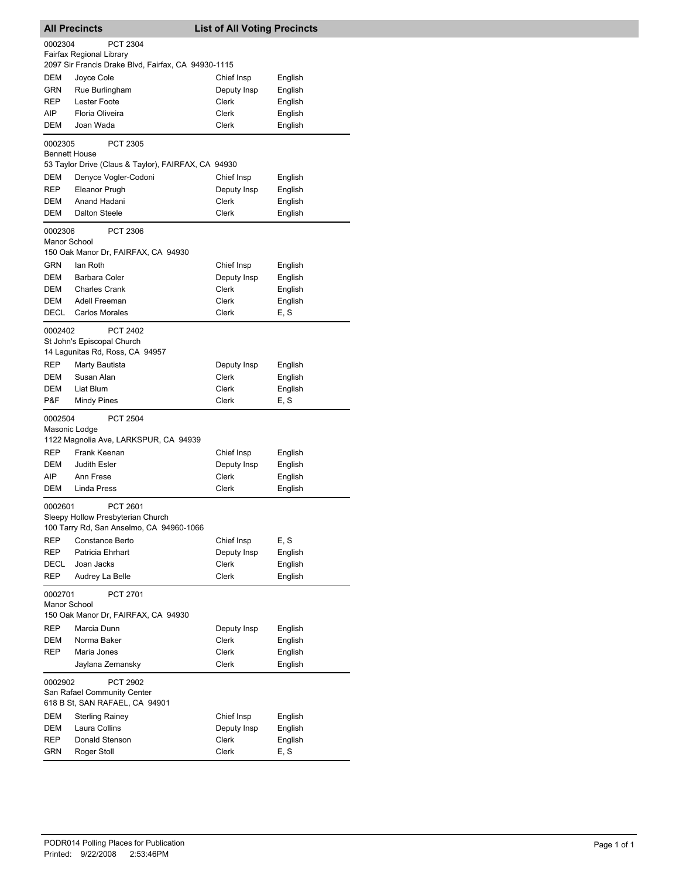| <b>All Precincts</b>    |                                                                                           | <b>List of All Voting Precincts</b> |         |
|-------------------------|-------------------------------------------------------------------------------------------|-------------------------------------|---------|
| 0002304                 | <b>PCT 2304</b><br>Fairfax Regional Library                                               |                                     |         |
|                         | 2097 Sir Francis Drake Blvd, Fairfax, CA 94930-1115                                       |                                     |         |
| <b>DEM</b>              | Joyce Cole                                                                                | Chief Insp                          | English |
| GRN                     | Rue Burlingham                                                                            | Deputy Insp                         | English |
| <b>REP</b>              | Lester Foote                                                                              | Clerk                               | English |
| AIP                     | Floria Oliveira                                                                           | Clerk                               | English |
| DEM                     | Joan Wada                                                                                 | Clerk                               | English |
| 0002305                 | PCT 2305<br><b>Bennett House</b>                                                          |                                     |         |
|                         | 53 Taylor Drive (Claus & Taylor), FAIRFAX, CA 94930                                       |                                     |         |
| DEM                     | Denyce Vogler-Codoni                                                                      | Chief Insp                          | English |
| REP                     | Eleanor Prugh                                                                             | Deputy Insp                         | English |
| DEM                     | Anand Hadani                                                                              | Clerk                               | English |
| DEM                     | <b>Dalton Steele</b>                                                                      | Clerk                               | English |
| 0002306<br>Manor School | PCT 2306<br>150 Oak Manor Dr, FAIRFAX, CA 94930                                           |                                     |         |
| GRN                     | lan Roth                                                                                  | Chief Insp                          | English |
| DEM                     | Barbara Coler                                                                             | Deputy Insp                         | English |
| DEM                     | <b>Charles Crank</b>                                                                      | Clerk                               | English |
| DEM                     | Adell Freeman                                                                             | Clerk                               | English |
| DECL                    | <b>Carlos Morales</b>                                                                     | Clerk                               | E, S    |
|                         |                                                                                           |                                     |         |
| 0002402                 | <b>PCT 2402</b><br>St John's Episcopal Church                                             |                                     |         |
|                         | 14 Lagunitas Rd, Ross, CA 94957                                                           |                                     |         |
|                         |                                                                                           |                                     |         |
| <b>REP</b>              | Marty Bautista                                                                            | Deputy Insp                         | English |
| DEM                     | Susan Alan                                                                                | Clerk                               | English |
| DEM                     | Liat Blum                                                                                 | Clerk                               | English |
| P&F                     | <b>Mindy Pines</b>                                                                        | Clerk                               | E, S    |
| 0002504                 | <b>PCT 2504</b>                                                                           |                                     |         |
|                         | Masonic Lodge<br>1122 Magnolia Ave, LARKSPUR, CA 94939                                    |                                     |         |
| <b>REP</b>              | Frank Keenan                                                                              | Chief Insp                          | English |
| DEM                     | <b>Judith Esler</b>                                                                       | Deputy Insp                         | English |
| AIP                     | Ann Frese                                                                                 | <b>Clerk</b>                        | English |
| DEM                     | Linda Press                                                                               | Clerk                               | English |
| 0002601                 | PCT 2601<br>Sleepy Hollow Presbyterian Church<br>100 Tarry Rd, San Anselmo, CA 94960-1066 |                                     |         |
| <b>REP</b>              | Constance Berto                                                                           | Chief Insp                          | E, S    |
| REP                     | Patricia Ehrhart                                                                          | Deputy Insp                         | English |
| DECL                    | Joan Jacks                                                                                | Clerk                               | English |
| <b>REP</b>              | Audrey La Belle                                                                           | <b>Clerk</b>                        | English |
| 0002701<br>Manor School | PCT 2701                                                                                  |                                     |         |
|                         | 150 Oak Manor Dr, FAIRFAX, CA 94930                                                       |                                     |         |
| <b>REP</b>              | Marcia Dunn                                                                               | Deputy Insp                         | English |
| DEM                     | Norma Baker                                                                               | Clerk                               | English |
| <b>REP</b>              | Maria Jones                                                                               | Clerk                               | English |
|                         | Jaylana Zemansky                                                                          | Clerk                               | English |
| 0002902                 | <b>PCT 2902</b>                                                                           |                                     |         |
|                         | San Rafael Community Center                                                               |                                     |         |
|                         | 618 B St, SAN RAFAEL, CA 94901                                                            |                                     |         |
| DEM                     | <b>Sterling Rainey</b>                                                                    | Chief Insp                          | English |
| DEM                     | Laura Collins                                                                             | Deputy Insp                         | English |
| REP                     | Donald Stenson                                                                            | Clerk                               | English |
| GRN                     | Roger Stoll                                                                               | Clerk                               | E, S    |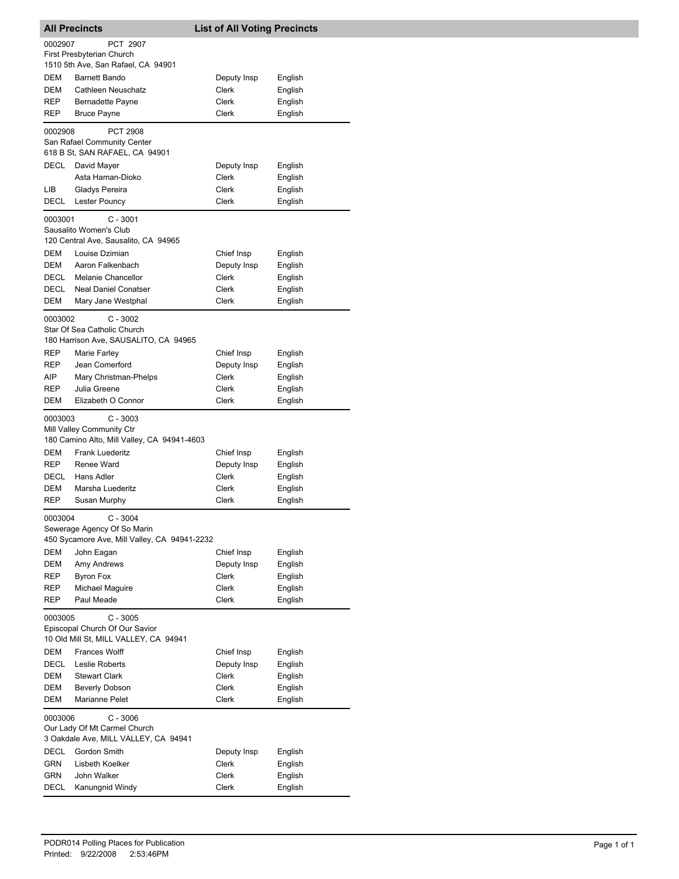| <b>All Precincts</b> |                                                                                           | <b>List of All Voting Precincts</b> |                    |
|----------------------|-------------------------------------------------------------------------------------------|-------------------------------------|--------------------|
| 0002907              | PCT 2907                                                                                  |                                     |                    |
|                      | First Presbyterian Church<br>1510 5th Ave, San Rafael, CA 94901                           |                                     |                    |
| <b>DEM</b>           | <b>Barnett Bando</b>                                                                      | Deputy Insp                         | English            |
| DEM                  | Cathleen Neuschatz                                                                        | Clerk                               | English            |
| REP                  | Bernadette Payne                                                                          | <b>Clerk</b>                        | English            |
| REP                  | <b>Bruce Payne</b>                                                                        | Clerk                               | English            |
| 0002908              | <b>PCT 2908</b>                                                                           |                                     |                    |
|                      | San Rafael Community Center<br>618 B St, SAN RAFAEL, CA 94901                             |                                     |                    |
| <b>DECL</b>          | David Mayer                                                                               | Deputy Insp                         | English            |
|                      | Asta Haman-Dioko                                                                          | Clerk                               | English            |
| LIB                  | Gladys Pereira                                                                            | Clerk                               | English            |
| DECL                 | Lester Pouncy                                                                             | Clerk                               | English            |
| 0003001              | $C - 3001$                                                                                |                                     |                    |
|                      | Sausalito Women's Club                                                                    |                                     |                    |
|                      | 120 Central Ave, Sausalito, CA 94965                                                      |                                     |                    |
| DEM                  | Louise Dzimian                                                                            | Chief Insp                          | English            |
| DEM                  | Aaron Falkenbach                                                                          | Deputy Insp                         | English            |
| DECL                 | Melanie Chancellor                                                                        | Clerk                               | English            |
| DECL<br>DEM          | <b>Neal Daniel Conatser</b><br>Mary Jane Westphal                                         | Clerk<br>Clerk                      | English<br>English |
|                      |                                                                                           |                                     |                    |
| 0003002              | $C - 3002$                                                                                |                                     |                    |
|                      | Star Of Sea Catholic Church<br>180 Harrison Ave, SAUSALITO, CA 94965                      |                                     |                    |
| REP                  | Marie Farley                                                                              | Chief Insp                          | English            |
| REP                  | Jean Comerford                                                                            | Deputy Insp                         | English            |
| AIP                  | Mary Christman-Phelps                                                                     | Clerk                               | English            |
| REP                  | Julia Greene                                                                              | Clerk                               | English            |
| DEM                  | Elizabeth O Connor                                                                        | Clerk                               | English            |
| 0003003              | $C - 3003$<br>Mill Valley Community Ctr<br>180 Camino Alto, Mill Valley, CA 94941-4603    |                                     |                    |
| DEM                  | <b>Frank Luederitz</b>                                                                    | Chief Insp                          | English            |
| REP                  | Renee Ward                                                                                | Deputy Insp                         | English            |
| DECL                 | Hans Adler                                                                                | Clerk                               | English            |
| DEM                  | Marsha Luederitz                                                                          | Clerk                               | English            |
| REP                  | Susan Murphy                                                                              | Clerk                               | English            |
| 0003004              | $C - 3004$<br>Sewerage Agency Of So Marin<br>450 Sycamore Ave, Mill Valley, CA 94941-2232 |                                     |                    |
| DEM                  | John Eagan                                                                                | Chief Insp                          | English            |
| DEM                  | Amy Andrews                                                                               | Deputy Insp                         | English            |
| REP                  | <b>Byron Fox</b>                                                                          | Clerk                               | English            |
| REP                  | Michael Maguire                                                                           | Clerk                               | English            |
| REP                  | Paul Meade                                                                                | Clerk                               | English            |
| 0003005              | $C - 3005$<br>Episcopal Church Of Our Savior<br>10 Old Mill St, MILL VALLEY, CA 94941     |                                     |                    |
| DEM                  | <b>Frances Wolff</b>                                                                      | Chief Insp                          | English            |
| DECL                 | Leslie Roberts                                                                            | Deputy Insp                         | English            |
| DEM                  | <b>Stewart Clark</b>                                                                      | Clerk                               | English            |
| DEM                  | <b>Beverly Dobson</b>                                                                     | Clerk                               | English            |
| DEM                  | Marianne Pelet                                                                            | Clerk                               | English            |
| 0003006              | $C - 3006$<br>Our Lady Of Mt Carmel Church<br>3 Oakdale Ave, MILL VALLEY, CA 94941        |                                     |                    |
| DECL                 | Gordon Smith                                                                              | Deputy Insp                         | English            |
| GRN                  | Lisbeth Koelker                                                                           | Clerk                               | English            |
| GRN                  | John Walker                                                                               | Clerk                               | English            |
| DECL                 | Kanungnid Windy                                                                           | Clerk                               | English            |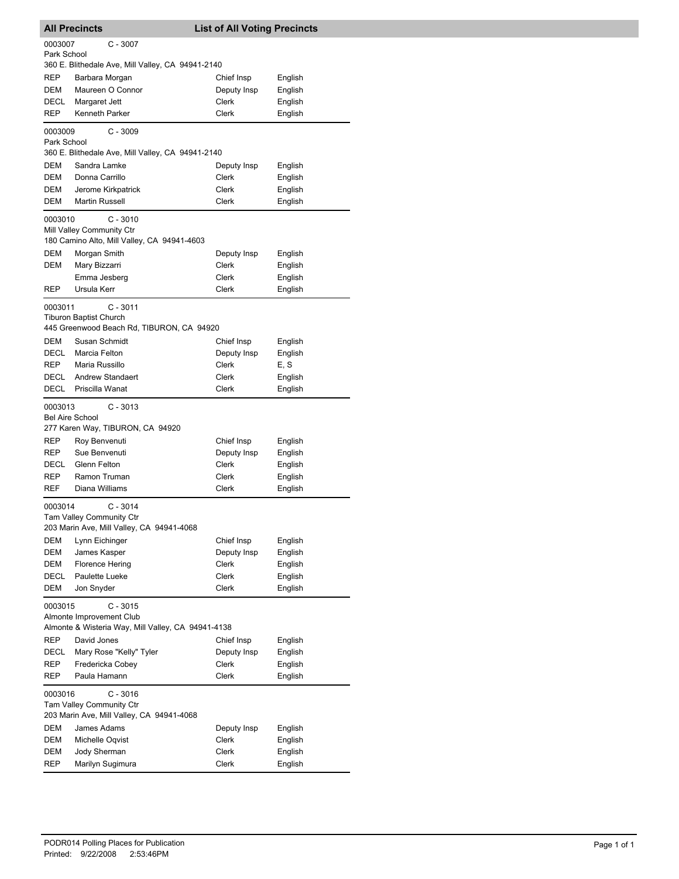|                                      | <b>All Precincts</b>                                                                         | <b>List of All Voting Precincts</b> |         |  |
|--------------------------------------|----------------------------------------------------------------------------------------------|-------------------------------------|---------|--|
| 0003007<br>$C - 3007$<br>Park School |                                                                                              |                                     |         |  |
|                                      | 360 E. Blithedale Ave, Mill Valley, CA 94941-2140                                            |                                     |         |  |
| REP                                  | Barbara Morgan                                                                               | Chief Insp                          | English |  |
| DEM                                  | Maureen O Connor                                                                             | Deputy Insp                         | English |  |
| <b>DECL</b>                          | Margaret Jett                                                                                | Clerk                               | English |  |
| REP                                  | Kenneth Parker                                                                               | Clerk                               | English |  |
| 0003009<br>Park School               | $C - 3009$                                                                                   |                                     |         |  |
|                                      | 360 E. Blithedale Ave, Mill Valley, CA 94941-2140                                            |                                     |         |  |
| DEM                                  | Sandra Lamke                                                                                 | Deputy Insp                         | English |  |
| <b>DEM</b>                           | Donna Carrillo                                                                               | Clerk                               | English |  |
| DEM                                  | Jerome Kirkpatrick                                                                           | Clerk                               | English |  |
| DEM                                  | <b>Martin Russell</b>                                                                        | Clerk                               | English |  |
| 0003010                              | $C - 3010$<br>Mill Valley Community Ctr<br>180 Camino Alto, Mill Valley, CA 94941-4603       |                                     |         |  |
| DEM                                  | Morgan Smith                                                                                 | Deputy Insp                         | English |  |
| <b>DEM</b>                           | Mary Bizzarri                                                                                | Clerk                               | English |  |
|                                      | Emma Jesberg                                                                                 | Clerk                               | English |  |
| REP                                  | Ursula Kerr                                                                                  | Clerk                               | English |  |
| 0003011                              | $C - 3011$<br><b>Tiburon Baptist Church</b><br>445 Greenwood Beach Rd, TIBURON, CA 94920     |                                     |         |  |
| <b>DEM</b>                           | Susan Schmidt                                                                                | Chief Insp                          | English |  |
| DECL                                 | Marcia Felton                                                                                | Deputy Insp                         | English |  |
| REP                                  | Maria Russillo                                                                               | Clerk                               | E, S    |  |
| <b>DECL</b>                          | <b>Andrew Standaert</b>                                                                      | Clerk                               | English |  |
| DECL                                 | Priscilla Wanat                                                                              | Clerk                               | English |  |
| 0003013<br><b>Bel Aire School</b>    | $C - 3013$<br>277 Karen Way, TIBURON, CA 94920                                               |                                     |         |  |
| REP                                  | Roy Benvenuti                                                                                | Chief Insp                          | English |  |
| <b>REP</b>                           | Sue Benvenuti                                                                                | Deputy Insp                         | English |  |
| DECL                                 | Glenn Felton                                                                                 | Clerk                               | English |  |
| REP                                  | Ramon Truman                                                                                 | Clerk                               | English |  |
| REF                                  | Diana Williams                                                                               | Clerk                               | English |  |
| 0003014                              | $C - 3014$<br>Tam Valley Community Ctr                                                       |                                     |         |  |
|                                      | 203 Marin Ave, Mill Valley, CA 94941-4068                                                    |                                     |         |  |
| DEM                                  | Lynn Eichinger                                                                               | Chief Insp                          | English |  |
| DEM                                  | James Kasper                                                                                 | Deputy Insp                         | English |  |
| DEM                                  | <b>Florence Hering</b>                                                                       | Clerk                               | English |  |
| DECL                                 | Paulette Lueke                                                                               | Clerk                               | English |  |
| DEM                                  | Jon Snyder                                                                                   | <b>Clerk</b>                        | English |  |
| 0003015                              | $C - 3015$<br>Almonte Improvement Club<br>Almonte & Wisteria Way, Mill Valley, CA 94941-4138 |                                     |         |  |
| <b>REP</b>                           | David Jones                                                                                  | Chief Insp                          | English |  |
| DECL                                 | Mary Rose "Kelly" Tyler                                                                      | Deputy Insp                         | English |  |
| REP                                  | Fredericka Cobey                                                                             | Clerk                               | English |  |
| REP                                  | Paula Hamann                                                                                 | Clerk                               | English |  |
| 0003016                              | $C - 3016$                                                                                   |                                     |         |  |
|                                      | Tam Valley Community Ctr<br>203 Marin Ave, Mill Valley, CA 94941-4068                        |                                     |         |  |
| DEM                                  | James Adams                                                                                  | Deputy Insp                         | English |  |
| DEM                                  | Michelle Oqvist                                                                              | Clerk                               | English |  |
|                                      |                                                                                              |                                     |         |  |
| DEM                                  | Jody Sherman                                                                                 | Clerk                               | English |  |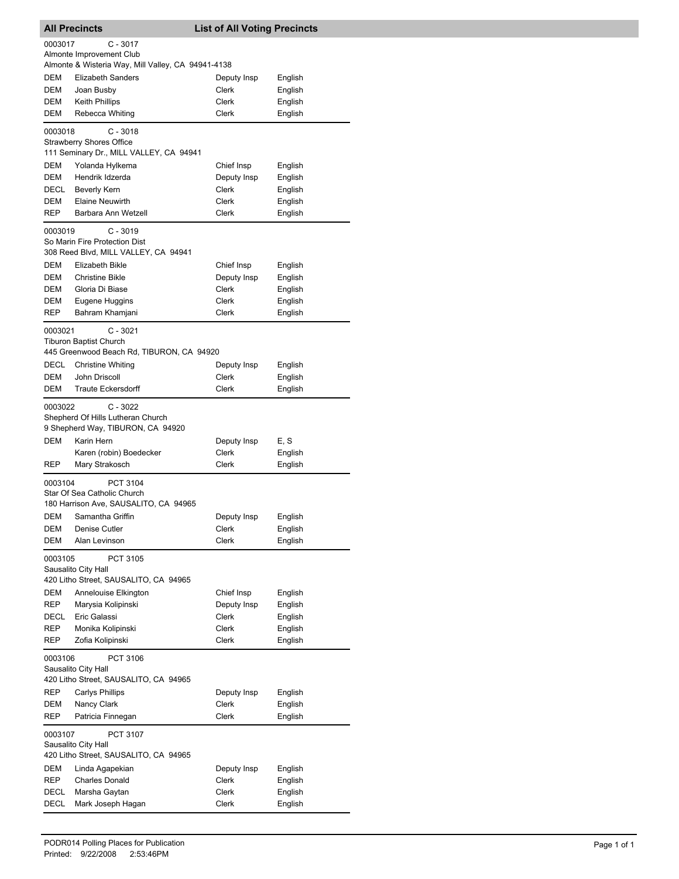| <b>All Precincts</b> |                                                                                          | <b>List of All Voting Precincts</b> |                    |
|----------------------|------------------------------------------------------------------------------------------|-------------------------------------|--------------------|
| 0003017              | $C - 3017$                                                                               |                                     |                    |
|                      | Almonte Improvement Club<br>Almonte & Wisteria Way, Mill Valley, CA 94941-4138           |                                     |                    |
| DEM                  | <b>Elizabeth Sanders</b>                                                                 | Deputy Insp                         | English            |
| <b>DEM</b>           | Joan Busby                                                                               | Clerk                               | English            |
| DEM                  | Keith Phillips                                                                           | Clerk                               | English            |
| DEM                  | Rebecca Whiting                                                                          | <b>Clerk</b>                        | English            |
| 0003018              | $C - 3018$<br><b>Strawberry Shores Office</b><br>111 Seminary Dr., MILL VALLEY, CA 94941 |                                     |                    |
| DEM                  | Yolanda Hylkema                                                                          | Chief Insp                          | English            |
| DEM                  | Hendrik Idzerda                                                                          | Deputy Insp                         | English            |
| DECL                 | <b>Beverly Kern</b>                                                                      | Clerk                               | English            |
| DEM                  | <b>Elaine Neuwirth</b><br>Barbara Ann Wetzell                                            | Clerk                               | English            |
| REP                  |                                                                                          | Clerk                               | English            |
| 0003019              | $C - 3019$<br>So Marin Fire Protection Dist<br>308 Reed Blvd, MILL VALLEY, CA 94941      |                                     |                    |
| DEM                  | <b>Elizabeth Bikle</b>                                                                   | Chief Insp                          | English            |
| DEM                  | <b>Christine Bikle</b>                                                                   | Deputy Insp                         | English            |
| DEM                  | Gloria Di Biase                                                                          | Clerk                               | English            |
| DEM                  | Eugene Huggins                                                                           | Clerk                               | English            |
| <b>REP</b>           | Bahram Khamjani                                                                          | Clerk                               | English            |
| 0003021              | $C - 3021$<br><b>Tiburon Baptist Church</b><br>445 Greenwood Beach Rd, TIBURON, CA 94920 |                                     |                    |
| DECL                 | <b>Christine Whiting</b>                                                                 | Deputy Insp                         | English            |
| DEM                  | John Driscoll                                                                            | Clerk                               | English            |
| DEM                  | <b>Traute Eckersdorff</b>                                                                | Clerk                               | English            |
| 0003022              | $C - 3022$<br>Shepherd Of Hills Lutheran Church<br>9 Shepherd Way, TIBURON, CA 94920     |                                     |                    |
| DEM                  | Karin Hern                                                                               | Deputy Insp                         | E, S               |
|                      | Karen (robin) Boedecker                                                                  | Clerk                               | English            |
| REP                  | Mary Strakosch                                                                           | Clerk                               | English            |
| 0003104              | PCT 3104<br>Star Of Sea Catholic Church<br>180 Harrison Ave, SAUSALITO, CA 94965         |                                     |                    |
| DEM                  | Samantha Griffin                                                                         | Deputy Insp                         | English            |
| DEM                  | Denise Cutler                                                                            | Clerk                               | English            |
| DEM                  | Alan Levinson                                                                            | Clerk                               | English            |
| 0003105              | PCT 3105<br>Sausalito City Hall<br>420 Litho Street, SAUSALITO, CA 94965                 |                                     |                    |
| DEM                  | Annelouise Elkington                                                                     | Chief Insp                          | English            |
| <b>REP</b>           | Marysia Kolipinski                                                                       | Deputy Insp                         | English            |
| DECL                 | Eric Galassi                                                                             | Clerk                               | English            |
| <b>REP</b>           | Monika Kolipinski                                                                        | Clerk                               | English            |
| REP                  | Zofia Kolipinski                                                                         | Clerk                               | English            |
| 0003106              | PCT 3106<br>Sausalito City Hall<br>420 Litho Street, SAUSALITO, CA 94965                 |                                     |                    |
| <b>REP</b>           | <b>Carlys Phillips</b>                                                                   | Deputy Insp                         | English            |
| DEM                  | Nancy Clark                                                                              | Clerk                               | English            |
| REP                  | Patricia Finnegan                                                                        | Clerk                               | English            |
| 0003107              | PCT 3107<br>Sausalito City Hall                                                          |                                     |                    |
|                      | 420 Litho Street, SAUSALITO, CA 94965                                                    |                                     |                    |
| DEM                  | Linda Agapekian                                                                          | Deputy Insp                         | English            |
| REP<br>DECL          | <b>Charles Donald</b><br>Marsha Gaytan                                                   | Clerk<br>Clerk                      | English<br>English |
| DECL                 | Mark Joseph Hagan                                                                        | Clerk                               | English            |
|                      |                                                                                          |                                     |                    |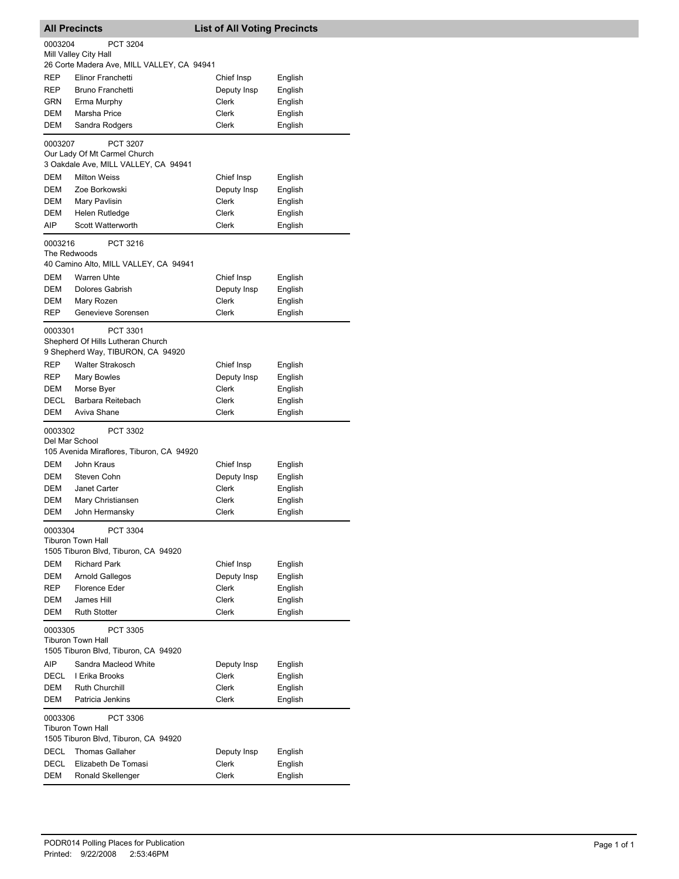| <b>All Precincts</b> |                                                                  | <b>List of All Voting Precincts</b> |                    |  |
|----------------------|------------------------------------------------------------------|-------------------------------------|--------------------|--|
| 0003204              | PCT 3204                                                         |                                     |                    |  |
|                      | Mill Valley City Hall                                            |                                     |                    |  |
| <b>REP</b>           | 26 Corte Madera Ave, MILL VALLEY, CA 94941<br>Elinor Franchetti  |                                     |                    |  |
| REP                  | Bruno Franchetti                                                 | Chief Insp<br>Deputy Insp           | English<br>English |  |
| GRN                  | Erma Murphy                                                      | Clerk                               | English            |  |
| DEM                  | Marsha Price                                                     | Clerk                               | English            |  |
| DEM                  | Sandra Rodgers                                                   | Clerk                               | English            |  |
| 0003207              | <b>PCT 3207</b>                                                  |                                     |                    |  |
|                      | Our Lady Of Mt Carmel Church                                     |                                     |                    |  |
|                      | 3 Oakdale Ave, MILL VALLEY, CA 94941                             |                                     |                    |  |
| DEM                  | <b>Milton Weiss</b>                                              | Chief Insp                          | English            |  |
| DEM                  | Zoe Borkowski                                                    | Deputy Insp                         | English            |  |
| DEM                  | Mary Pavlisin                                                    | Clerk                               | English            |  |
| DEM                  | Helen Rutledge                                                   | Clerk                               | English            |  |
| AIP                  | Scott Watterworth                                                | Clerk                               | English            |  |
| 0003216              | PCT 3216<br>The Redwoods                                         |                                     |                    |  |
|                      | 40 Camino Alto, MILL VALLEY, CA 94941                            |                                     |                    |  |
| <b>DEM</b>           | <b>Warren Uhte</b>                                               | Chief Insp                          | English            |  |
| DEM                  | Dolores Gabrish                                                  | Deputy Insp                         | English            |  |
| DEM                  | Mary Rozen                                                       | <b>Clerk</b>                        | English            |  |
| REP                  | Genevieve Sorensen                                               | Clerk                               | English            |  |
| 0003301              | PCT 3301                                                         |                                     |                    |  |
|                      | Shepherd Of Hills Lutheran Church                                |                                     |                    |  |
|                      | 9 Shepherd Way, TIBURON, CA 94920                                |                                     |                    |  |
| REP                  | <b>Walter Strakosch</b>                                          | Chief Insp                          | English            |  |
| REP                  | <b>Mary Bowles</b>                                               | Deputy Insp                         | English            |  |
| DEM                  | Morse Byer                                                       | Clerk                               | English            |  |
| DECL                 | Barbara Reitebach                                                | Clerk                               | English            |  |
| DEM                  | Aviva Shane                                                      | Clerk                               | English            |  |
| 0003302              | PCT 3302                                                         |                                     |                    |  |
|                      | Del Mar School                                                   |                                     |                    |  |
|                      | 105 Avenida Miraflores, Tiburon, CA 94920                        |                                     |                    |  |
| <b>DEM</b>           | John Kraus                                                       | Chief Insp                          | English            |  |
| DEM                  | Steven Cohn                                                      | Deputy Insp                         | English            |  |
| DEM                  | Janet Carter                                                     | Clerk                               | English            |  |
| DEM<br>DEM           | Mary Christiansen<br>John Hermansky                              | Clerk<br>Clerk                      | English            |  |
|                      |                                                                  |                                     | English            |  |
| 0003304              | PCT 3304                                                         |                                     |                    |  |
|                      | <b>Tiburon Town Hall</b><br>1505 Tiburon Blvd, Tiburon, CA 94920 |                                     |                    |  |
| DEM                  | <b>Richard Park</b>                                              | Chief Insp                          | English            |  |
| DEM                  | <b>Arnold Gallegos</b>                                           | Deputy Insp                         | English            |  |
| <b>REP</b>           | <b>Florence Eder</b>                                             | Clerk                               | English            |  |
| DEM                  | James Hill                                                       | <b>Clerk</b>                        | English            |  |
| DEM                  | <b>Ruth Stotter</b>                                              | Clerk                               | English            |  |
| 0003305              | PCT 3305                                                         |                                     |                    |  |
|                      | <b>Tiburon Town Hall</b>                                         |                                     |                    |  |
|                      | 1505 Tiburon Blvd, Tiburon, CA 94920                             |                                     |                    |  |
| AIP                  | Sandra Macleod White                                             | Deputy Insp                         | English            |  |
| DECL                 | I Erika Brooks                                                   | <b>Clerk</b>                        | English            |  |
| DEM                  | Ruth Churchill                                                   | <b>Clerk</b>                        | English            |  |
| DEM                  | Patricia Jenkins                                                 | Clerk                               | English            |  |
| 0003306              | PCT 3306                                                         |                                     |                    |  |
|                      | <b>Tiburon Town Hall</b>                                         |                                     |                    |  |
|                      | 1505 Tiburon Blvd, Tiburon, CA 94920                             |                                     |                    |  |
| DECL                 | <b>Thomas Gallaher</b>                                           | Deputy Insp                         | English            |  |
| DECL                 | Elizabeth De Tomasi                                              | Clerk<br><b>Clerk</b>               | English            |  |
| DEM                  | Ronald Skellenger                                                |                                     | English            |  |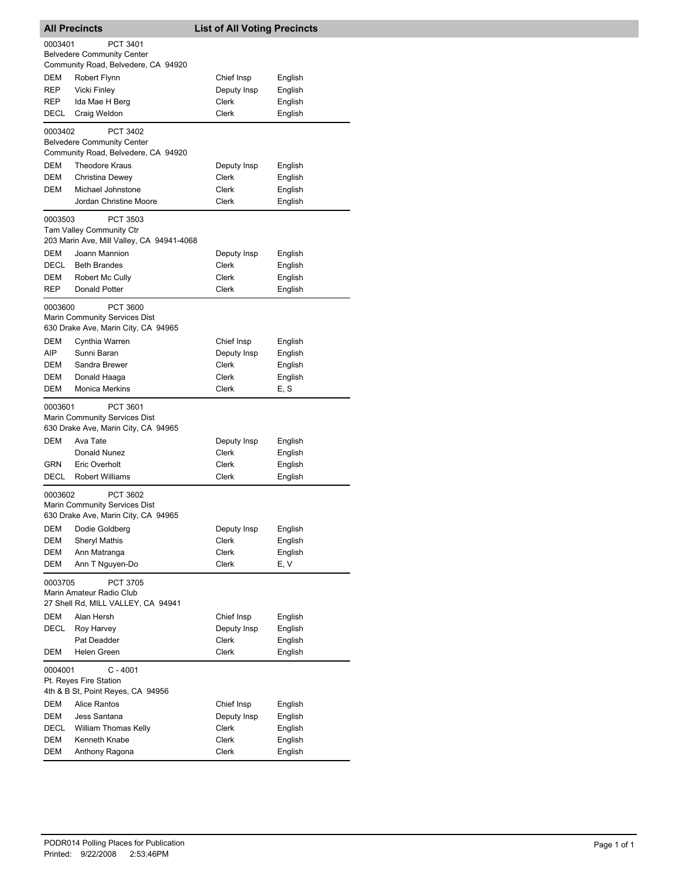| 0003401<br>PCT 3401<br><b>Belvedere Community Center</b><br>Community Road, Belvedere, CA 94920<br>DEM<br>Robert Flynn<br>Chief Insp<br>English<br>REP<br><b>Vicki Finley</b><br>Deputy Insp<br>English<br>REP<br>Ida Mae H Berg<br><b>Clerk</b><br>English<br><b>Clerk</b><br>Craig Weldon<br>English<br>DECL<br>0003402<br>PCT 3402<br><b>Belvedere Community Center</b><br>Community Road, Belvedere, CA 94920<br>DEM<br><b>Theodore Kraus</b><br>Deputy Insp<br>English<br>DEM<br>Christina Dewey<br><b>Clerk</b><br>English<br>DEM<br>Michael Johnstone<br>Clerk<br>English<br>Jordan Christine Moore<br>Clerk<br>English<br>0003503<br>PCT 3503<br>Tam Valley Community Ctr<br>203 Marin Ave, Mill Valley, CA 94941-4068<br>DEM<br>Joann Mannion<br>Deputy Insp<br>English<br>DECL<br>Clerk<br>English<br><b>Beth Brandes</b><br>DEM<br>Robert Mc Cully<br>Clerk<br>English<br>REP<br><b>Donald Potter</b><br><b>Clerk</b><br>English<br>0003600<br>PCT 3600<br>Marin Community Services Dist<br>630 Drake Ave, Marin City, CA 94965<br>DEM<br>Cynthia Warren<br>Chief Insp<br>English<br>AIP<br>Sunni Baran<br>Deputy Insp<br>English<br>DEM<br>Sandra Brewer<br>Clerk<br>English<br>DEM<br>Donald Haaga<br>Clerk<br>English<br>DEM<br><b>Monica Merkins</b><br>Clerk<br>E, S<br>PCT 3601<br>0003601<br>Marin Community Services Dist<br>630 Drake Ave, Marin City, CA 94965<br>DEM<br>Ava Tate<br>Deputy Insp<br>English<br>Donald Nunez<br>Clerk<br>English<br>GRN<br>Eric Overholt<br><b>Clerk</b><br>English<br>DECL<br><b>Robert Williams</b><br><b>Clerk</b><br>English<br>PCT 3602<br>0003602<br>Marin Community Services Dist<br>630 Drake Ave, Marin City, CA 94965<br>DEM<br>Deputy Insp<br>English<br>Dodie Goldberg<br>Clerk<br>English<br>DEM<br><b>Sheryl Mathis</b><br>DEM<br>Ann Matranga<br><b>Clerk</b><br>English<br>DEM<br>Ann T Nguyen-Do<br>E, V<br><b>Clerk</b><br>0003705<br>PCT 3705<br>Marin Amateur Radio Club<br>27 Shell Rd, MILL VALLEY, CA 94941<br>DEM<br>Alan Hersh<br>Chief Insp<br>English<br>DECL<br>Roy Harvey<br>Deputy Insp<br>English<br>Pat Deadder<br>Clerk<br>English<br>DEM<br>Helen Green<br>Clerk<br>English<br>0004001<br>C - 4001<br>Pt. Reyes Fire Station<br>4th & B St, Point Reyes, CA 94956<br>DEM<br><b>Alice Rantos</b><br>Chief Insp<br>English<br>DEM<br>Jess Santana<br>Deputy Insp<br>English<br>Clerk<br>DECL<br><b>William Thomas Kelly</b><br>English<br>DEM<br>Kenneth Knabe<br>English<br>Clerk<br>DEM<br>Anthony Ragona<br>Clerk<br>English | <b>All Precincts</b> |  | <b>List of All Voting Precincts</b> |  |  |
|---------------------------------------------------------------------------------------------------------------------------------------------------------------------------------------------------------------------------------------------------------------------------------------------------------------------------------------------------------------------------------------------------------------------------------------------------------------------------------------------------------------------------------------------------------------------------------------------------------------------------------------------------------------------------------------------------------------------------------------------------------------------------------------------------------------------------------------------------------------------------------------------------------------------------------------------------------------------------------------------------------------------------------------------------------------------------------------------------------------------------------------------------------------------------------------------------------------------------------------------------------------------------------------------------------------------------------------------------------------------------------------------------------------------------------------------------------------------------------------------------------------------------------------------------------------------------------------------------------------------------------------------------------------------------------------------------------------------------------------------------------------------------------------------------------------------------------------------------------------------------------------------------------------------------------------------------------------------------------------------------------------------------------------------------------------------------------------------------------------------------------------------------------------------------------------------------------------------------------------------------------------------------------------------------------------------------------------------------------------------------------------------------------------------------------------------------------------------------------------------------------------------|----------------------|--|-------------------------------------|--|--|
|                                                                                                                                                                                                                                                                                                                                                                                                                                                                                                                                                                                                                                                                                                                                                                                                                                                                                                                                                                                                                                                                                                                                                                                                                                                                                                                                                                                                                                                                                                                                                                                                                                                                                                                                                                                                                                                                                                                                                                                                                                                                                                                                                                                                                                                                                                                                                                                                                                                                                                                     |                      |  |                                     |  |  |
|                                                                                                                                                                                                                                                                                                                                                                                                                                                                                                                                                                                                                                                                                                                                                                                                                                                                                                                                                                                                                                                                                                                                                                                                                                                                                                                                                                                                                                                                                                                                                                                                                                                                                                                                                                                                                                                                                                                                                                                                                                                                                                                                                                                                                                                                                                                                                                                                                                                                                                                     |                      |  |                                     |  |  |
|                                                                                                                                                                                                                                                                                                                                                                                                                                                                                                                                                                                                                                                                                                                                                                                                                                                                                                                                                                                                                                                                                                                                                                                                                                                                                                                                                                                                                                                                                                                                                                                                                                                                                                                                                                                                                                                                                                                                                                                                                                                                                                                                                                                                                                                                                                                                                                                                                                                                                                                     |                      |  |                                     |  |  |
|                                                                                                                                                                                                                                                                                                                                                                                                                                                                                                                                                                                                                                                                                                                                                                                                                                                                                                                                                                                                                                                                                                                                                                                                                                                                                                                                                                                                                                                                                                                                                                                                                                                                                                                                                                                                                                                                                                                                                                                                                                                                                                                                                                                                                                                                                                                                                                                                                                                                                                                     |                      |  |                                     |  |  |
|                                                                                                                                                                                                                                                                                                                                                                                                                                                                                                                                                                                                                                                                                                                                                                                                                                                                                                                                                                                                                                                                                                                                                                                                                                                                                                                                                                                                                                                                                                                                                                                                                                                                                                                                                                                                                                                                                                                                                                                                                                                                                                                                                                                                                                                                                                                                                                                                                                                                                                                     |                      |  |                                     |  |  |
|                                                                                                                                                                                                                                                                                                                                                                                                                                                                                                                                                                                                                                                                                                                                                                                                                                                                                                                                                                                                                                                                                                                                                                                                                                                                                                                                                                                                                                                                                                                                                                                                                                                                                                                                                                                                                                                                                                                                                                                                                                                                                                                                                                                                                                                                                                                                                                                                                                                                                                                     |                      |  |                                     |  |  |
|                                                                                                                                                                                                                                                                                                                                                                                                                                                                                                                                                                                                                                                                                                                                                                                                                                                                                                                                                                                                                                                                                                                                                                                                                                                                                                                                                                                                                                                                                                                                                                                                                                                                                                                                                                                                                                                                                                                                                                                                                                                                                                                                                                                                                                                                                                                                                                                                                                                                                                                     |                      |  |                                     |  |  |
|                                                                                                                                                                                                                                                                                                                                                                                                                                                                                                                                                                                                                                                                                                                                                                                                                                                                                                                                                                                                                                                                                                                                                                                                                                                                                                                                                                                                                                                                                                                                                                                                                                                                                                                                                                                                                                                                                                                                                                                                                                                                                                                                                                                                                                                                                                                                                                                                                                                                                                                     |                      |  |                                     |  |  |
|                                                                                                                                                                                                                                                                                                                                                                                                                                                                                                                                                                                                                                                                                                                                                                                                                                                                                                                                                                                                                                                                                                                                                                                                                                                                                                                                                                                                                                                                                                                                                                                                                                                                                                                                                                                                                                                                                                                                                                                                                                                                                                                                                                                                                                                                                                                                                                                                                                                                                                                     |                      |  |                                     |  |  |
|                                                                                                                                                                                                                                                                                                                                                                                                                                                                                                                                                                                                                                                                                                                                                                                                                                                                                                                                                                                                                                                                                                                                                                                                                                                                                                                                                                                                                                                                                                                                                                                                                                                                                                                                                                                                                                                                                                                                                                                                                                                                                                                                                                                                                                                                                                                                                                                                                                                                                                                     |                      |  |                                     |  |  |
|                                                                                                                                                                                                                                                                                                                                                                                                                                                                                                                                                                                                                                                                                                                                                                                                                                                                                                                                                                                                                                                                                                                                                                                                                                                                                                                                                                                                                                                                                                                                                                                                                                                                                                                                                                                                                                                                                                                                                                                                                                                                                                                                                                                                                                                                                                                                                                                                                                                                                                                     |                      |  |                                     |  |  |
|                                                                                                                                                                                                                                                                                                                                                                                                                                                                                                                                                                                                                                                                                                                                                                                                                                                                                                                                                                                                                                                                                                                                                                                                                                                                                                                                                                                                                                                                                                                                                                                                                                                                                                                                                                                                                                                                                                                                                                                                                                                                                                                                                                                                                                                                                                                                                                                                                                                                                                                     |                      |  |                                     |  |  |
|                                                                                                                                                                                                                                                                                                                                                                                                                                                                                                                                                                                                                                                                                                                                                                                                                                                                                                                                                                                                                                                                                                                                                                                                                                                                                                                                                                                                                                                                                                                                                                                                                                                                                                                                                                                                                                                                                                                                                                                                                                                                                                                                                                                                                                                                                                                                                                                                                                                                                                                     |                      |  |                                     |  |  |
|                                                                                                                                                                                                                                                                                                                                                                                                                                                                                                                                                                                                                                                                                                                                                                                                                                                                                                                                                                                                                                                                                                                                                                                                                                                                                                                                                                                                                                                                                                                                                                                                                                                                                                                                                                                                                                                                                                                                                                                                                                                                                                                                                                                                                                                                                                                                                                                                                                                                                                                     |                      |  |                                     |  |  |
|                                                                                                                                                                                                                                                                                                                                                                                                                                                                                                                                                                                                                                                                                                                                                                                                                                                                                                                                                                                                                                                                                                                                                                                                                                                                                                                                                                                                                                                                                                                                                                                                                                                                                                                                                                                                                                                                                                                                                                                                                                                                                                                                                                                                                                                                                                                                                                                                                                                                                                                     |                      |  |                                     |  |  |
|                                                                                                                                                                                                                                                                                                                                                                                                                                                                                                                                                                                                                                                                                                                                                                                                                                                                                                                                                                                                                                                                                                                                                                                                                                                                                                                                                                                                                                                                                                                                                                                                                                                                                                                                                                                                                                                                                                                                                                                                                                                                                                                                                                                                                                                                                                                                                                                                                                                                                                                     |                      |  |                                     |  |  |
|                                                                                                                                                                                                                                                                                                                                                                                                                                                                                                                                                                                                                                                                                                                                                                                                                                                                                                                                                                                                                                                                                                                                                                                                                                                                                                                                                                                                                                                                                                                                                                                                                                                                                                                                                                                                                                                                                                                                                                                                                                                                                                                                                                                                                                                                                                                                                                                                                                                                                                                     |                      |  |                                     |  |  |
|                                                                                                                                                                                                                                                                                                                                                                                                                                                                                                                                                                                                                                                                                                                                                                                                                                                                                                                                                                                                                                                                                                                                                                                                                                                                                                                                                                                                                                                                                                                                                                                                                                                                                                                                                                                                                                                                                                                                                                                                                                                                                                                                                                                                                                                                                                                                                                                                                                                                                                                     |                      |  |                                     |  |  |
|                                                                                                                                                                                                                                                                                                                                                                                                                                                                                                                                                                                                                                                                                                                                                                                                                                                                                                                                                                                                                                                                                                                                                                                                                                                                                                                                                                                                                                                                                                                                                                                                                                                                                                                                                                                                                                                                                                                                                                                                                                                                                                                                                                                                                                                                                                                                                                                                                                                                                                                     |                      |  |                                     |  |  |
|                                                                                                                                                                                                                                                                                                                                                                                                                                                                                                                                                                                                                                                                                                                                                                                                                                                                                                                                                                                                                                                                                                                                                                                                                                                                                                                                                                                                                                                                                                                                                                                                                                                                                                                                                                                                                                                                                                                                                                                                                                                                                                                                                                                                                                                                                                                                                                                                                                                                                                                     |                      |  |                                     |  |  |
|                                                                                                                                                                                                                                                                                                                                                                                                                                                                                                                                                                                                                                                                                                                                                                                                                                                                                                                                                                                                                                                                                                                                                                                                                                                                                                                                                                                                                                                                                                                                                                                                                                                                                                                                                                                                                                                                                                                                                                                                                                                                                                                                                                                                                                                                                                                                                                                                                                                                                                                     |                      |  |                                     |  |  |
|                                                                                                                                                                                                                                                                                                                                                                                                                                                                                                                                                                                                                                                                                                                                                                                                                                                                                                                                                                                                                                                                                                                                                                                                                                                                                                                                                                                                                                                                                                                                                                                                                                                                                                                                                                                                                                                                                                                                                                                                                                                                                                                                                                                                                                                                                                                                                                                                                                                                                                                     |                      |  |                                     |  |  |
|                                                                                                                                                                                                                                                                                                                                                                                                                                                                                                                                                                                                                                                                                                                                                                                                                                                                                                                                                                                                                                                                                                                                                                                                                                                                                                                                                                                                                                                                                                                                                                                                                                                                                                                                                                                                                                                                                                                                                                                                                                                                                                                                                                                                                                                                                                                                                                                                                                                                                                                     |                      |  |                                     |  |  |
|                                                                                                                                                                                                                                                                                                                                                                                                                                                                                                                                                                                                                                                                                                                                                                                                                                                                                                                                                                                                                                                                                                                                                                                                                                                                                                                                                                                                                                                                                                                                                                                                                                                                                                                                                                                                                                                                                                                                                                                                                                                                                                                                                                                                                                                                                                                                                                                                                                                                                                                     |                      |  |                                     |  |  |
|                                                                                                                                                                                                                                                                                                                                                                                                                                                                                                                                                                                                                                                                                                                                                                                                                                                                                                                                                                                                                                                                                                                                                                                                                                                                                                                                                                                                                                                                                                                                                                                                                                                                                                                                                                                                                                                                                                                                                                                                                                                                                                                                                                                                                                                                                                                                                                                                                                                                                                                     |                      |  |                                     |  |  |
|                                                                                                                                                                                                                                                                                                                                                                                                                                                                                                                                                                                                                                                                                                                                                                                                                                                                                                                                                                                                                                                                                                                                                                                                                                                                                                                                                                                                                                                                                                                                                                                                                                                                                                                                                                                                                                                                                                                                                                                                                                                                                                                                                                                                                                                                                                                                                                                                                                                                                                                     |                      |  |                                     |  |  |
|                                                                                                                                                                                                                                                                                                                                                                                                                                                                                                                                                                                                                                                                                                                                                                                                                                                                                                                                                                                                                                                                                                                                                                                                                                                                                                                                                                                                                                                                                                                                                                                                                                                                                                                                                                                                                                                                                                                                                                                                                                                                                                                                                                                                                                                                                                                                                                                                                                                                                                                     |                      |  |                                     |  |  |
|                                                                                                                                                                                                                                                                                                                                                                                                                                                                                                                                                                                                                                                                                                                                                                                                                                                                                                                                                                                                                                                                                                                                                                                                                                                                                                                                                                                                                                                                                                                                                                                                                                                                                                                                                                                                                                                                                                                                                                                                                                                                                                                                                                                                                                                                                                                                                                                                                                                                                                                     |                      |  |                                     |  |  |
|                                                                                                                                                                                                                                                                                                                                                                                                                                                                                                                                                                                                                                                                                                                                                                                                                                                                                                                                                                                                                                                                                                                                                                                                                                                                                                                                                                                                                                                                                                                                                                                                                                                                                                                                                                                                                                                                                                                                                                                                                                                                                                                                                                                                                                                                                                                                                                                                                                                                                                                     |                      |  |                                     |  |  |
|                                                                                                                                                                                                                                                                                                                                                                                                                                                                                                                                                                                                                                                                                                                                                                                                                                                                                                                                                                                                                                                                                                                                                                                                                                                                                                                                                                                                                                                                                                                                                                                                                                                                                                                                                                                                                                                                                                                                                                                                                                                                                                                                                                                                                                                                                                                                                                                                                                                                                                                     |                      |  |                                     |  |  |
|                                                                                                                                                                                                                                                                                                                                                                                                                                                                                                                                                                                                                                                                                                                                                                                                                                                                                                                                                                                                                                                                                                                                                                                                                                                                                                                                                                                                                                                                                                                                                                                                                                                                                                                                                                                                                                                                                                                                                                                                                                                                                                                                                                                                                                                                                                                                                                                                                                                                                                                     |                      |  |                                     |  |  |
|                                                                                                                                                                                                                                                                                                                                                                                                                                                                                                                                                                                                                                                                                                                                                                                                                                                                                                                                                                                                                                                                                                                                                                                                                                                                                                                                                                                                                                                                                                                                                                                                                                                                                                                                                                                                                                                                                                                                                                                                                                                                                                                                                                                                                                                                                                                                                                                                                                                                                                                     |                      |  |                                     |  |  |
|                                                                                                                                                                                                                                                                                                                                                                                                                                                                                                                                                                                                                                                                                                                                                                                                                                                                                                                                                                                                                                                                                                                                                                                                                                                                                                                                                                                                                                                                                                                                                                                                                                                                                                                                                                                                                                                                                                                                                                                                                                                                                                                                                                                                                                                                                                                                                                                                                                                                                                                     |                      |  |                                     |  |  |
|                                                                                                                                                                                                                                                                                                                                                                                                                                                                                                                                                                                                                                                                                                                                                                                                                                                                                                                                                                                                                                                                                                                                                                                                                                                                                                                                                                                                                                                                                                                                                                                                                                                                                                                                                                                                                                                                                                                                                                                                                                                                                                                                                                                                                                                                                                                                                                                                                                                                                                                     |                      |  |                                     |  |  |
|                                                                                                                                                                                                                                                                                                                                                                                                                                                                                                                                                                                                                                                                                                                                                                                                                                                                                                                                                                                                                                                                                                                                                                                                                                                                                                                                                                                                                                                                                                                                                                                                                                                                                                                                                                                                                                                                                                                                                                                                                                                                                                                                                                                                                                                                                                                                                                                                                                                                                                                     |                      |  |                                     |  |  |
|                                                                                                                                                                                                                                                                                                                                                                                                                                                                                                                                                                                                                                                                                                                                                                                                                                                                                                                                                                                                                                                                                                                                                                                                                                                                                                                                                                                                                                                                                                                                                                                                                                                                                                                                                                                                                                                                                                                                                                                                                                                                                                                                                                                                                                                                                                                                                                                                                                                                                                                     |                      |  |                                     |  |  |
|                                                                                                                                                                                                                                                                                                                                                                                                                                                                                                                                                                                                                                                                                                                                                                                                                                                                                                                                                                                                                                                                                                                                                                                                                                                                                                                                                                                                                                                                                                                                                                                                                                                                                                                                                                                                                                                                                                                                                                                                                                                                                                                                                                                                                                                                                                                                                                                                                                                                                                                     |                      |  |                                     |  |  |
|                                                                                                                                                                                                                                                                                                                                                                                                                                                                                                                                                                                                                                                                                                                                                                                                                                                                                                                                                                                                                                                                                                                                                                                                                                                                                                                                                                                                                                                                                                                                                                                                                                                                                                                                                                                                                                                                                                                                                                                                                                                                                                                                                                                                                                                                                                                                                                                                                                                                                                                     |                      |  |                                     |  |  |
|                                                                                                                                                                                                                                                                                                                                                                                                                                                                                                                                                                                                                                                                                                                                                                                                                                                                                                                                                                                                                                                                                                                                                                                                                                                                                                                                                                                                                                                                                                                                                                                                                                                                                                                                                                                                                                                                                                                                                                                                                                                                                                                                                                                                                                                                                                                                                                                                                                                                                                                     |                      |  |                                     |  |  |
|                                                                                                                                                                                                                                                                                                                                                                                                                                                                                                                                                                                                                                                                                                                                                                                                                                                                                                                                                                                                                                                                                                                                                                                                                                                                                                                                                                                                                                                                                                                                                                                                                                                                                                                                                                                                                                                                                                                                                                                                                                                                                                                                                                                                                                                                                                                                                                                                                                                                                                                     |                      |  |                                     |  |  |
|                                                                                                                                                                                                                                                                                                                                                                                                                                                                                                                                                                                                                                                                                                                                                                                                                                                                                                                                                                                                                                                                                                                                                                                                                                                                                                                                                                                                                                                                                                                                                                                                                                                                                                                                                                                                                                                                                                                                                                                                                                                                                                                                                                                                                                                                                                                                                                                                                                                                                                                     |                      |  |                                     |  |  |
|                                                                                                                                                                                                                                                                                                                                                                                                                                                                                                                                                                                                                                                                                                                                                                                                                                                                                                                                                                                                                                                                                                                                                                                                                                                                                                                                                                                                                                                                                                                                                                                                                                                                                                                                                                                                                                                                                                                                                                                                                                                                                                                                                                                                                                                                                                                                                                                                                                                                                                                     |                      |  |                                     |  |  |
|                                                                                                                                                                                                                                                                                                                                                                                                                                                                                                                                                                                                                                                                                                                                                                                                                                                                                                                                                                                                                                                                                                                                                                                                                                                                                                                                                                                                                                                                                                                                                                                                                                                                                                                                                                                                                                                                                                                                                                                                                                                                                                                                                                                                                                                                                                                                                                                                                                                                                                                     |                      |  |                                     |  |  |
|                                                                                                                                                                                                                                                                                                                                                                                                                                                                                                                                                                                                                                                                                                                                                                                                                                                                                                                                                                                                                                                                                                                                                                                                                                                                                                                                                                                                                                                                                                                                                                                                                                                                                                                                                                                                                                                                                                                                                                                                                                                                                                                                                                                                                                                                                                                                                                                                                                                                                                                     |                      |  |                                     |  |  |
|                                                                                                                                                                                                                                                                                                                                                                                                                                                                                                                                                                                                                                                                                                                                                                                                                                                                                                                                                                                                                                                                                                                                                                                                                                                                                                                                                                                                                                                                                                                                                                                                                                                                                                                                                                                                                                                                                                                                                                                                                                                                                                                                                                                                                                                                                                                                                                                                                                                                                                                     |                      |  |                                     |  |  |
|                                                                                                                                                                                                                                                                                                                                                                                                                                                                                                                                                                                                                                                                                                                                                                                                                                                                                                                                                                                                                                                                                                                                                                                                                                                                                                                                                                                                                                                                                                                                                                                                                                                                                                                                                                                                                                                                                                                                                                                                                                                                                                                                                                                                                                                                                                                                                                                                                                                                                                                     |                      |  |                                     |  |  |
|                                                                                                                                                                                                                                                                                                                                                                                                                                                                                                                                                                                                                                                                                                                                                                                                                                                                                                                                                                                                                                                                                                                                                                                                                                                                                                                                                                                                                                                                                                                                                                                                                                                                                                                                                                                                                                                                                                                                                                                                                                                                                                                                                                                                                                                                                                                                                                                                                                                                                                                     |                      |  |                                     |  |  |
|                                                                                                                                                                                                                                                                                                                                                                                                                                                                                                                                                                                                                                                                                                                                                                                                                                                                                                                                                                                                                                                                                                                                                                                                                                                                                                                                                                                                                                                                                                                                                                                                                                                                                                                                                                                                                                                                                                                                                                                                                                                                                                                                                                                                                                                                                                                                                                                                                                                                                                                     |                      |  |                                     |  |  |
|                                                                                                                                                                                                                                                                                                                                                                                                                                                                                                                                                                                                                                                                                                                                                                                                                                                                                                                                                                                                                                                                                                                                                                                                                                                                                                                                                                                                                                                                                                                                                                                                                                                                                                                                                                                                                                                                                                                                                                                                                                                                                                                                                                                                                                                                                                                                                                                                                                                                                                                     |                      |  |                                     |  |  |
|                                                                                                                                                                                                                                                                                                                                                                                                                                                                                                                                                                                                                                                                                                                                                                                                                                                                                                                                                                                                                                                                                                                                                                                                                                                                                                                                                                                                                                                                                                                                                                                                                                                                                                                                                                                                                                                                                                                                                                                                                                                                                                                                                                                                                                                                                                                                                                                                                                                                                                                     |                      |  |                                     |  |  |
|                                                                                                                                                                                                                                                                                                                                                                                                                                                                                                                                                                                                                                                                                                                                                                                                                                                                                                                                                                                                                                                                                                                                                                                                                                                                                                                                                                                                                                                                                                                                                                                                                                                                                                                                                                                                                                                                                                                                                                                                                                                                                                                                                                                                                                                                                                                                                                                                                                                                                                                     |                      |  |                                     |  |  |
|                                                                                                                                                                                                                                                                                                                                                                                                                                                                                                                                                                                                                                                                                                                                                                                                                                                                                                                                                                                                                                                                                                                                                                                                                                                                                                                                                                                                                                                                                                                                                                                                                                                                                                                                                                                                                                                                                                                                                                                                                                                                                                                                                                                                                                                                                                                                                                                                                                                                                                                     |                      |  |                                     |  |  |
|                                                                                                                                                                                                                                                                                                                                                                                                                                                                                                                                                                                                                                                                                                                                                                                                                                                                                                                                                                                                                                                                                                                                                                                                                                                                                                                                                                                                                                                                                                                                                                                                                                                                                                                                                                                                                                                                                                                                                                                                                                                                                                                                                                                                                                                                                                                                                                                                                                                                                                                     |                      |  |                                     |  |  |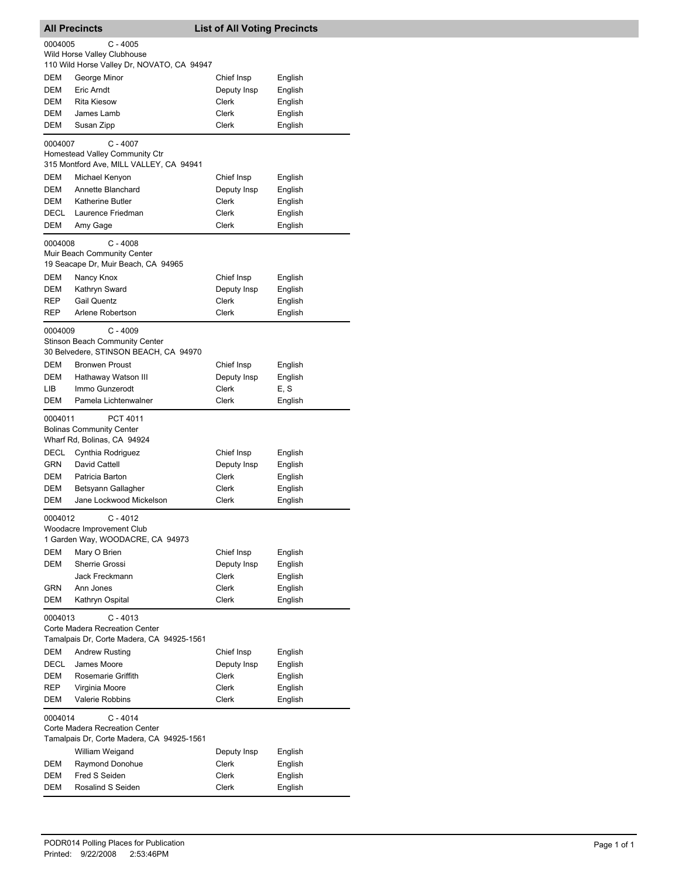| <b>All Precincts</b>                                                                                 |                                                                                              | <b>List of All Voting Precincts</b>                  |                                                     |  |
|------------------------------------------------------------------------------------------------------|----------------------------------------------------------------------------------------------|------------------------------------------------------|-----------------------------------------------------|--|
| 0004005                                                                                              | $C - 4005$<br>Wild Horse Valley Clubhouse<br>110 Wild Horse Valley Dr, NOVATO, CA 94947      |                                                      |                                                     |  |
| DEM<br>DEM<br>DEM<br>DEM<br>DEM                                                                      | George Minor<br>Eric Arndt<br><b>Rita Kiesow</b><br>James Lamb<br>Susan Zipp                 | Chief Insp<br>Deputy Insp<br>Clerk<br>Clerk<br>Clerk | English<br>English<br>English<br>English<br>English |  |
| 0004007                                                                                              | $C - 4007$<br>Homestead Valley Community Ctr<br>315 Montford Ave, MILL VALLEY, CA 94941      |                                                      |                                                     |  |
| DEM                                                                                                  | Michael Kenyon                                                                               | Chief Insp                                           | English                                             |  |
| DEM                                                                                                  | Annette Blanchard                                                                            | Deputy Insp                                          | English                                             |  |
| DEM                                                                                                  | <b>Katherine Butler</b>                                                                      | Clerk                                                | English                                             |  |
| DECL                                                                                                 | Laurence Friedman                                                                            | Clerk                                                | English                                             |  |
| DEM                                                                                                  | Amy Gage                                                                                     | Clerk                                                | English                                             |  |
| 0004008                                                                                              | $C - 4008$<br>Muir Beach Community Center<br>19 Seacape Dr, Muir Beach, CA 94965             |                                                      |                                                     |  |
| DEM                                                                                                  | Nancy Knox                                                                                   | Chief Insp                                           | English                                             |  |
| DEM                                                                                                  | Kathryn Sward                                                                                | Deputy Insp                                          | English                                             |  |
| REP                                                                                                  | <b>Gail Quentz</b>                                                                           | <b>Clerk</b>                                         | English                                             |  |
| REP                                                                                                  | Arlene Robertson                                                                             | Clerk                                                | English                                             |  |
| 0004009                                                                                              | $C - 4009$<br><b>Stinson Beach Community Center</b><br>30 Belvedere, STINSON BEACH, CA 94970 |                                                      |                                                     |  |
| DEM                                                                                                  | <b>Bronwen Proust</b>                                                                        | Chief Insp                                           | English                                             |  |
| DEM                                                                                                  | Hathaway Watson III                                                                          | Deputy Insp                                          | English                                             |  |
| LIB                                                                                                  | Immo Gunzerodt                                                                               | Clerk                                                | E, S                                                |  |
| DEM                                                                                                  | Pamela Lichtenwalner                                                                         | <b>Clerk</b>                                         | English                                             |  |
| 0004011                                                                                              | PCT 4011<br><b>Bolinas Community Center</b><br>Wharf Rd, Bolinas, CA 94924                   |                                                      |                                                     |  |
| DECL                                                                                                 | Cynthia Rodriguez                                                                            | Chief Insp                                           | English                                             |  |
| <b>GRN</b>                                                                                           | David Cattell                                                                                | Deputy Insp                                          | English                                             |  |
| DEM                                                                                                  | Patricia Barton                                                                              | <b>Clerk</b>                                         | English                                             |  |
| DEM                                                                                                  | Betsyann Gallagher                                                                           | Clerk                                                | English                                             |  |
| DEM                                                                                                  | Jane Lockwood Mickelson                                                                      | <b>Clerk</b>                                         | English                                             |  |
| 0004012                                                                                              | C - 4012<br>Woodacre Improvement Club<br>1 Garden Way, WOODACRE, CA 94973                    |                                                      |                                                     |  |
| DEM                                                                                                  | Mary O Brien                                                                                 | Chief Insp                                           | English                                             |  |
| DEM                                                                                                  | Sherrie Grossi                                                                               | Deputy Insp                                          | English                                             |  |
|                                                                                                      | Jack Freckmann                                                                               | Clerk                                                | English                                             |  |
| GRN<br>DEM                                                                                           | Ann Jones                                                                                    | <b>Clerk</b><br><b>Clerk</b>                         | English                                             |  |
| 0004013                                                                                              | Kathryn Ospital<br>$C - 4013$<br>Corte Madera Recreation Center                              |                                                      | English                                             |  |
|                                                                                                      | Tamalpais Dr, Corte Madera, CA 94925-1561                                                    |                                                      |                                                     |  |
| DEM                                                                                                  | <b>Andrew Rusting</b>                                                                        | Chief Insp                                           | English                                             |  |
| DECL                                                                                                 | James Moore                                                                                  | Deputy Insp                                          | English                                             |  |
| DEM                                                                                                  | Rosemarie Griffith                                                                           | Clerk                                                | English                                             |  |
| REP<br>DEM                                                                                           | Virginia Moore<br><b>Valerie Robbins</b>                                                     | Clerk<br>Clerk                                       | English<br>English                                  |  |
|                                                                                                      |                                                                                              |                                                      |                                                     |  |
| $C - 4014$<br>0004014<br>Corte Madera Recreation Center<br>Tamalpais Dr, Corte Madera, CA 94925-1561 |                                                                                              |                                                      |                                                     |  |
|                                                                                                      | William Weigand                                                                              | Deputy Insp                                          | English                                             |  |
| DEM                                                                                                  | Raymond Donohue                                                                              | Clerk                                                | English                                             |  |
| DEM                                                                                                  | Fred S Seiden                                                                                | Clerk                                                | English                                             |  |
| DEM                                                                                                  | Rosalind S Seiden                                                                            | Clerk                                                | English                                             |  |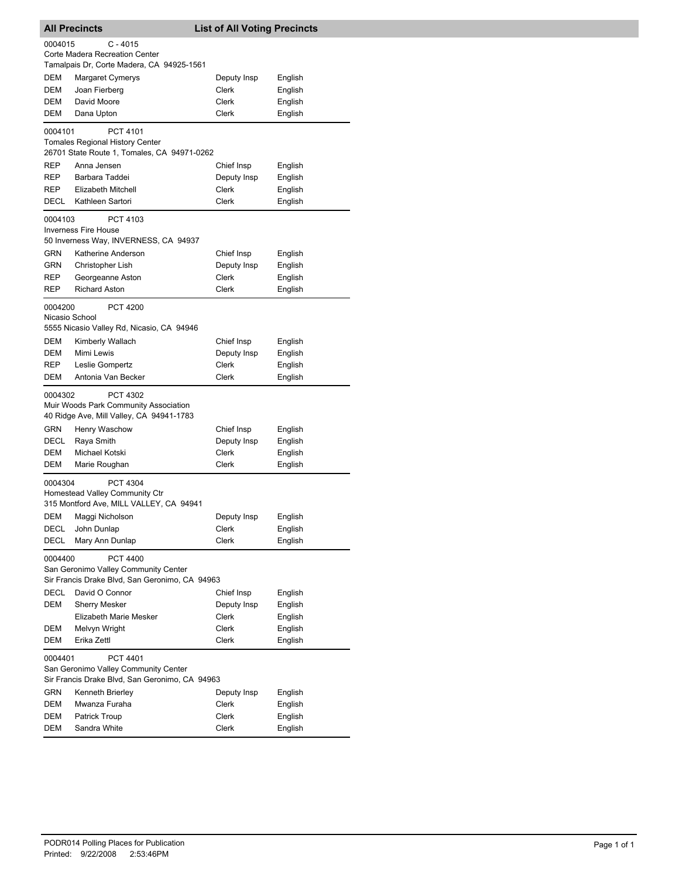|                                                | <b>All Precincts</b>                                                              | <b>List of All Voting Precincts</b> |                    |  |
|------------------------------------------------|-----------------------------------------------------------------------------------|-------------------------------------|--------------------|--|
| 0004015                                        | $C - 4015$                                                                        |                                     |                    |  |
|                                                | Corte Madera Recreation Center                                                    |                                     |                    |  |
|                                                | Tamalpais Dr, Corte Madera, CA 94925-1561                                         |                                     |                    |  |
| DEM                                            | Margaret Cymerys                                                                  | Deputy Insp                         | English            |  |
| DEM                                            | Joan Fierberg                                                                     | Clerk                               | English            |  |
| DEM                                            | David Moore                                                                       | Clerk                               | English            |  |
| DEM                                            | Dana Upton                                                                        | Clerk                               | English            |  |
| 0004101                                        | PCT 4101                                                                          |                                     |                    |  |
|                                                | <b>Tomales Regional History Center</b>                                            |                                     |                    |  |
|                                                | 26701 State Route 1, Tomales, CA 94971-0262                                       |                                     |                    |  |
| REP                                            | Anna Jensen                                                                       | Chief Insp                          | English            |  |
| REP                                            | Barbara Taddei                                                                    | Deputy Insp                         | English            |  |
| REP                                            | Elizabeth Mitchell                                                                | Clerk                               | English            |  |
| DECL                                           | Kathleen Sartori                                                                  | Clerk                               | English            |  |
| 0004103                                        | PCT 4103                                                                          |                                     |                    |  |
|                                                | <b>Inverness Fire House</b>                                                       |                                     |                    |  |
|                                                | 50 Inverness Way, INVERNESS, CA 94937                                             |                                     |                    |  |
| GRN                                            | Katherine Anderson                                                                | Chief Insp                          | English            |  |
| <b>GRN</b>                                     | Christopher Lish                                                                  | Deputy Insp                         | English            |  |
| REP                                            | Georgeanne Aston                                                                  | Clerk                               | English            |  |
| REP                                            | <b>Richard Aston</b>                                                              | Clerk                               | English            |  |
| 0004200                                        | <b>PCT 4200</b>                                                                   |                                     |                    |  |
| Nicasio School                                 | 5555 Nicasio Valley Rd, Nicasio, CA 94946                                         |                                     |                    |  |
|                                                |                                                                                   |                                     |                    |  |
| DEM<br>DEM                                     | Kimberly Wallach<br>Mimi Lewis                                                    | Chief Insp<br>Deputy Insp           | English            |  |
| REP                                            | Leslie Gompertz                                                                   | Clerk                               | English<br>English |  |
| DEM                                            | Antonia Van Becker                                                                | Clerk                               | English            |  |
|                                                |                                                                                   |                                     |                    |  |
| 0004302                                        | PCT 4302                                                                          |                                     |                    |  |
|                                                | Muir Woods Park Community Association<br>40 Ridge Ave, Mill Valley, CA 94941-1783 |                                     |                    |  |
|                                                |                                                                                   |                                     |                    |  |
| GRN<br>DECL                                    | Henry Waschow<br>Raya Smith                                                       | Chief Insp<br>Deputy Insp           | English<br>English |  |
| DEM                                            | Michael Kotski                                                                    | Clerk                               | English            |  |
| DEM                                            | Marie Roughan                                                                     | Clerk                               | English            |  |
|                                                |                                                                                   |                                     |                    |  |
| 0004304                                        | PCT 4304                                                                          |                                     |                    |  |
|                                                | Homestead Valley Community Ctr<br>315 Montford Ave, MILL VALLEY, CA 94941         |                                     |                    |  |
| DEM                                            | Maggi Nicholson                                                                   | Deputy Insp                         | English            |  |
| DECL                                           | John Dunlap                                                                       | Clerk                               | English            |  |
| DECL                                           | Mary Ann Dunlap                                                                   | Clerk                               | English            |  |
|                                                |                                                                                   |                                     |                    |  |
| 0004400                                        | <b>PCT 4400</b><br>San Geronimo Valley Community Center                           |                                     |                    |  |
|                                                | Sir Francis Drake Blvd, San Geronimo, CA 94963                                    |                                     |                    |  |
| DECL                                           | David O Connor                                                                    | Chief Insp                          | English            |  |
| DEM                                            | <b>Sherry Mesker</b>                                                              | Deputy Insp                         | English            |  |
|                                                | Elizabeth Marie Mesker                                                            | Clerk                               | English            |  |
| DEM                                            | Melvyn Wright                                                                     | Clerk                               | English            |  |
| DEM                                            | Erika Zettl                                                                       | Clerk                               | English            |  |
| 0004401                                        | <b>PCT 4401</b>                                                                   |                                     |                    |  |
|                                                | San Geronimo Valley Community Center                                              |                                     |                    |  |
| Sir Francis Drake Blvd, San Geronimo, CA 94963 |                                                                                   |                                     |                    |  |
| GRN                                            | Kenneth Brierley                                                                  | Deputy Insp                         | English            |  |
| DEM                                            | Mwanza Furaha                                                                     | Clerk                               | English            |  |
| DEM                                            | <b>Patrick Troup</b>                                                              | Clerk                               | English            |  |
| DEM                                            | Sandra White                                                                      | Clerk                               | English            |  |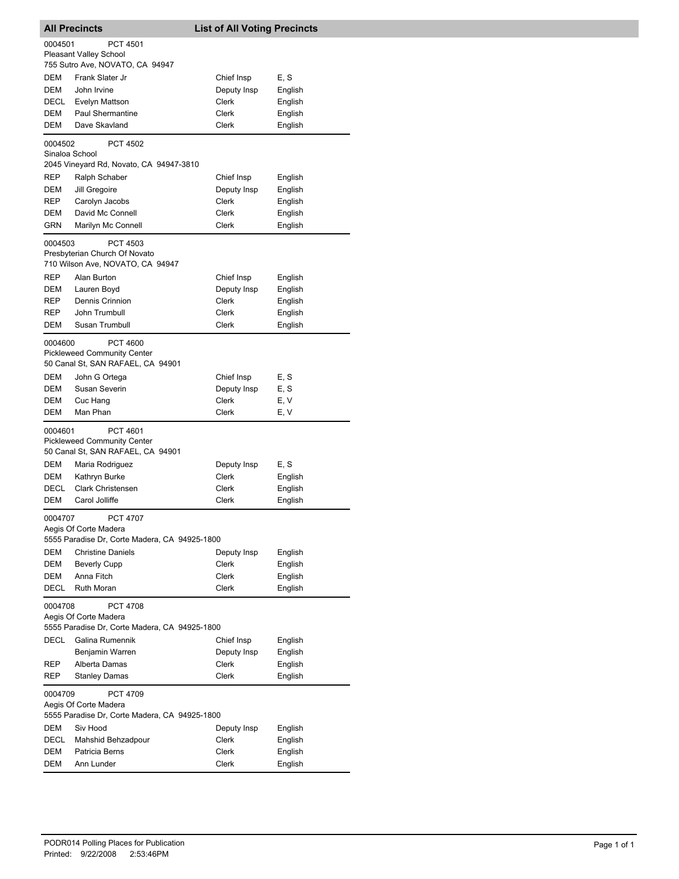| <b>All Precincts</b>                                                                                 |                                                                                            | <b>List of All Voting Precincts</b>         |                                       |  |
|------------------------------------------------------------------------------------------------------|--------------------------------------------------------------------------------------------|---------------------------------------------|---------------------------------------|--|
| 0004501                                                                                              | <b>PCT 4501</b><br><b>Pleasant Valley School</b><br>755 Sutro Ave, NOVATO, CA 94947        |                                             |                                       |  |
| DEM<br>DEM<br>DECL<br>DEM                                                                            | Frank Slater Jr<br>John Irvine<br>Evelyn Mattson<br><b>Paul Shermantine</b>                | Chief Insp<br>Deputy Insp<br>Clerk<br>Clerk | E, S<br>English<br>English<br>English |  |
| DEM                                                                                                  | Dave Skavland                                                                              | Clerk                                       | English                               |  |
| 0004502<br>Sinaloa School                                                                            | <b>PCT 4502</b><br>2045 Vineyard Rd, Novato, CA 94947-3810                                 |                                             |                                       |  |
| REP<br>DEM                                                                                           | Ralph Schaber<br>Jill Gregoire                                                             | Chief Insp<br>Deputy Insp                   | English<br>English                    |  |
| REP<br>DEM<br>GRN                                                                                    | Carolyn Jacobs<br>David Mc Connell<br>Marilyn Mc Connell                                   | Clerk<br>Clerk<br>Clerk                     | English<br>English<br>English         |  |
| 0004503                                                                                              | PCT 4503<br>Presbyterian Church Of Novato<br>710 Wilson Ave, NOVATO, CA 94947              |                                             |                                       |  |
| REP<br>DEM<br>REP                                                                                    | Alan Burton<br>Lauren Boyd<br>Dennis Crinnion                                              | Chief Insp<br>Deputy Insp<br><b>Clerk</b>   | English<br>English<br>English         |  |
| REP<br><b>DEM</b>                                                                                    | John Trumbull<br>Susan Trumbull                                                            | Clerk<br>Clerk                              | English<br>English                    |  |
| 0004600                                                                                              | <b>PCT 4600</b><br><b>Pickleweed Community Center</b><br>50 Canal St, SAN RAFAEL, CA 94901 |                                             |                                       |  |
| DEM<br>DEM                                                                                           | John G Ortega<br>Susan Severin                                                             | Chief Insp<br>Deputy Insp                   | E, S<br>E, S                          |  |
| DEM<br>DEM                                                                                           | Cuc Hang<br>Man Phan                                                                       | Clerk<br>Clerk                              | E, V<br>E, V                          |  |
| 0004601                                                                                              | <b>PCT 4601</b><br><b>Pickleweed Community Center</b><br>50 Canal St, SAN RAFAEL, CA 94901 |                                             |                                       |  |
| DEM                                                                                                  | Maria Rodriguez                                                                            | Deputy Insp                                 | E, S                                  |  |
| DEM<br>DECL                                                                                          | Kathryn Burke<br><b>Clark Christensen</b>                                                  | Clerk<br>Clerk                              | English<br>English                    |  |
| DEM                                                                                                  | Carol Jolliffe                                                                             | Clerk                                       | English                               |  |
| 0004707                                                                                              | <b>PCT 4707</b><br>Aegis Of Corte Madera<br>5555 Paradise Dr, Corte Madera, CA 94925-1800  |                                             |                                       |  |
| DEM                                                                                                  | <b>Christine Daniels</b>                                                                   | Deputy Insp                                 | English                               |  |
| DEM<br>DEM                                                                                           | <b>Beverly Cupp</b><br>Anna Fitch                                                          | Clerk<br>Clerk                              | English<br>English                    |  |
| DECL                                                                                                 | Ruth Moran                                                                                 | Clerk                                       | English                               |  |
| 0004708<br><b>PCT 4708</b><br>Aegis Of Corte Madera<br>5555 Paradise Dr, Corte Madera, CA 94925-1800 |                                                                                            |                                             |                                       |  |
| DECL                                                                                                 | Galina Rumennik                                                                            | Chief Insp                                  | English                               |  |
|                                                                                                      | Benjamin Warren                                                                            | Deputy Insp                                 | English                               |  |
| REP<br>REP                                                                                           | Alberta Damas<br><b>Stanley Damas</b>                                                      | Clerk<br>Clerk                              | English<br>English                    |  |
| 0004709                                                                                              | <b>PCT 4709</b><br>Aegis Of Corte Madera                                                   |                                             |                                       |  |
|                                                                                                      | 5555 Paradise Dr, Corte Madera, CA 94925-1800                                              |                                             |                                       |  |
| DEM<br>DECL                                                                                          | Siv Hood<br>Mahshid Behzadpour                                                             | Deputy Insp<br>Clerk                        | English<br>English                    |  |
| DEM                                                                                                  | Patricia Berns                                                                             | Clerk                                       | English                               |  |
| DEM                                                                                                  | Ann Lunder                                                                                 | Clerk                                       | English                               |  |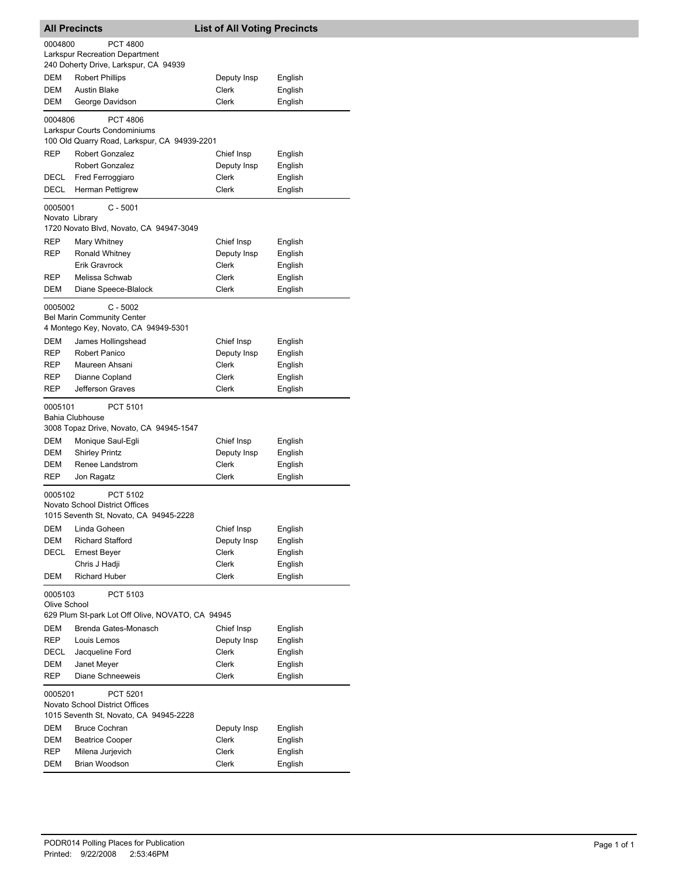| <b>All Precincts</b>                                  |                                                                                         | <b>List of All Voting Precincts</b> |                    |  |
|-------------------------------------------------------|-----------------------------------------------------------------------------------------|-------------------------------------|--------------------|--|
| 0004800                                               | <b>PCT 4800</b><br>Larkspur Recreation Department                                       |                                     |                    |  |
|                                                       | 240 Doherty Drive, Larkspur, CA 94939                                                   |                                     |                    |  |
| DEM                                                   | <b>Robert Phillips</b>                                                                  | Deputy Insp                         | English            |  |
| DEM                                                   | <b>Austin Blake</b>                                                                     | Clerk                               | English            |  |
| DEM                                                   | George Davidson                                                                         | Clerk                               | English            |  |
| 0004806                                               | <b>PCT 4806</b><br>Larkspur Courts Condominiums                                         |                                     |                    |  |
| <b>REP</b>                                            | 100 Old Quarry Road, Larkspur, CA 94939-2201                                            |                                     |                    |  |
|                                                       | <b>Robert Gonzalez</b><br><b>Robert Gonzalez</b>                                        | Chief Insp<br>Deputy Insp           | English<br>English |  |
| DECL                                                  | Fred Ferroggiaro                                                                        | Clerk                               | English            |  |
| DECL                                                  | Herman Pettigrew                                                                        | <b>Clerk</b>                        | English            |  |
| 0005001<br>Novato Library                             | $C - 5001$                                                                              |                                     |                    |  |
|                                                       | 1720 Novato Blvd, Novato, CA 94947-3049                                                 |                                     |                    |  |
| REP                                                   | Mary Whitney                                                                            | Chief Insp                          | English            |  |
| REP                                                   | Ronald Whitney                                                                          | Deputy Insp                         | English            |  |
|                                                       | <b>Erik Gravrock</b>                                                                    | Clerk                               | English            |  |
| REP                                                   | Melissa Schwab                                                                          | Clerk                               | English            |  |
| DEM                                                   | Diane Speece-Blalock                                                                    | Clerk                               | English            |  |
| 0005002                                               | $C - 5002$<br><b>Bel Marin Community Center</b><br>4 Montego Key, Novato, CA 94949-5301 |                                     |                    |  |
| <b>DEM</b>                                            | James Hollingshead                                                                      | Chief Insp                          | English            |  |
| REP                                                   | <b>Robert Panico</b>                                                                    | Deputy Insp                         | English            |  |
| REP                                                   | Maureen Ahsani                                                                          | Clerk                               | English            |  |
| REP                                                   | Dianne Copland                                                                          | Clerk                               | English            |  |
| REP                                                   | Jefferson Graves                                                                        | Clerk                               | English            |  |
| 0005101                                               | PCT 5101<br><b>Bahia Clubhouse</b><br>3008 Topaz Drive, Novato, CA 94945-1547           |                                     |                    |  |
| DEM                                                   | Monique Saul-Egli                                                                       | Chief Insp                          | English            |  |
| DEM                                                   | <b>Shirley Printz</b>                                                                   | Deputy Insp                         | English            |  |
| DEM                                                   | Renee Landstrom                                                                         | <b>Clerk</b>                        | English            |  |
| REP                                                   | Jon Ragatz                                                                              | Clerk                               | English            |  |
| 0005102                                               | PCT 5102<br>Novato School District Offices<br>1015 Seventh St, Novato, CA 94945-2228    |                                     |                    |  |
| DEM                                                   | Linda Goheen                                                                            | Chief Insp                          | English            |  |
| DEM                                                   | <b>Richard Stafford</b>                                                                 | Deputy Insp                         | English            |  |
| DECL                                                  | Ernest Beyer                                                                            | Clerk                               | English            |  |
|                                                       | Chris J Hadji                                                                           | Clerk                               | English            |  |
| DEM                                                   | <b>Richard Huber</b>                                                                    | Clerk                               | English            |  |
| 0005103<br>Olive School                               | PCT 5103                                                                                |                                     |                    |  |
| DEM                                                   | 629 Plum St-park Lot Off Olive, NOVATO, CA 94945<br>Brenda Gates-Monasch                | Chief Insp                          |                    |  |
| REP                                                   | Louis Lemos                                                                             | Deputy Insp                         | English<br>English |  |
| DECL                                                  | Jacqueline Ford                                                                         | Clerk                               | English            |  |
| DEM                                                   | Janet Meyer                                                                             | Clerk                               | English            |  |
| REP                                                   | Diane Schneeweis                                                                        | Clerk                               | English            |  |
| PCT 5201<br>0005201<br>Novato School District Offices |                                                                                         |                                     |                    |  |
| 1015 Seventh St, Novato, CA 94945-2228                |                                                                                         |                                     |                    |  |
| DEM                                                   | <b>Bruce Cochran</b>                                                                    | Deputy Insp                         | English            |  |
| DEM                                                   | <b>Beatrice Cooper</b>                                                                  | Clerk                               | English            |  |
| REP                                                   | Milena Jurjevich                                                                        | Clerk                               | English            |  |
| DEM                                                   | Brian Woodson                                                                           | Clerk                               | English            |  |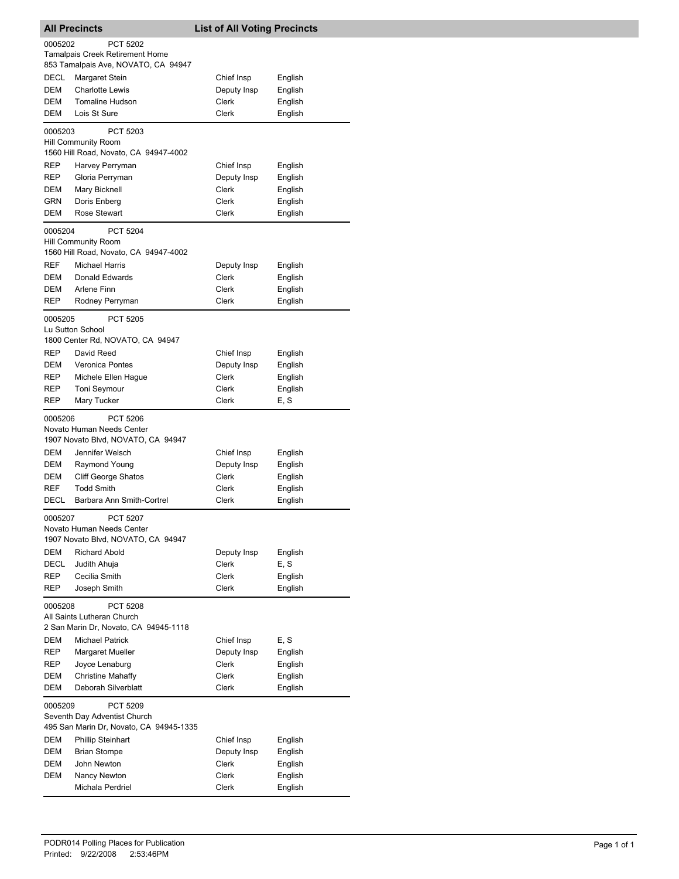| <b>All Precincts</b> |                                                                                                        | <b>List of All Voting Precincts</b> |         |  |
|----------------------|--------------------------------------------------------------------------------------------------------|-------------------------------------|---------|--|
| 0005202              | <b>PCT 5202</b>                                                                                        |                                     |         |  |
|                      | <b>Tamalpais Creek Retirement Home</b>                                                                 |                                     |         |  |
|                      | 853 Tamalpais Ave, NOVATO, CA 94947                                                                    |                                     |         |  |
| DECL                 | Margaret Stein                                                                                         | Chief Insp                          | English |  |
| DEM                  | <b>Charlotte Lewis</b>                                                                                 | Deputy Insp                         | English |  |
| <b>DEM</b>           | <b>Tomaline Hudson</b>                                                                                 | Clerk                               | English |  |
| DEM                  | Lois St Sure                                                                                           | Clerk                               | English |  |
| 0005203              | PCT 5203<br>Hill Community Room                                                                        |                                     |         |  |
|                      | 1560 Hill Road, Novato, CA 94947-4002                                                                  |                                     |         |  |
| REP                  | Harvey Perryman                                                                                        | Chief Insp                          | English |  |
| REP                  | Gloria Perryman                                                                                        | Deputy Insp                         | English |  |
| DEM                  | Mary Bicknell                                                                                          | Clerk                               | English |  |
| GRN                  | Doris Enberg                                                                                           | Clerk                               | English |  |
| DEM                  | <b>Rose Stewart</b>                                                                                    | Clerk                               | English |  |
| 0005204              | <b>PCT 5204</b><br><b>Hill Community Room</b><br>1560 Hill Road, Novato, CA 94947-4002                 |                                     |         |  |
| <b>REF</b>           | <b>Michael Harris</b>                                                                                  | Deputy Insp                         | English |  |
| <b>DEM</b>           | Donald Edwards                                                                                         | Clerk                               | English |  |
| DEM                  | Arlene Finn                                                                                            | Clerk                               | English |  |
| <b>REP</b>           | Rodney Perryman                                                                                        | Clerk                               | English |  |
| 0005205              | <b>PCT 5205</b><br>Lu Sutton School<br>1800 Center Rd, NOVATO, CA 94947                                |                                     |         |  |
| <b>REP</b>           | David Reed                                                                                             | Chief Insp                          | English |  |
| DEM                  | Veronica Pontes                                                                                        | Deputy Insp                         | English |  |
| REP                  | Michele Ellen Hague                                                                                    | Clerk                               | English |  |
| REP                  | Toni Seymour                                                                                           | Clerk                               | English |  |
| REP                  | Mary Tucker                                                                                            | Clerk                               | E, S    |  |
| 0005206<br>DEM       | <b>PCT 5206</b><br>Novato Human Needs Center<br>1907 Novato Blvd, NOVATO, CA 94947<br>Jennifer Welsch  | Chief Insp                          | English |  |
| DEM                  | Raymond Young                                                                                          | Deputy Insp                         | English |  |
| DEM                  | <b>Cliff George Shatos</b>                                                                             | Clerk                               | English |  |
| <b>REF</b>           | <b>Todd Smith</b>                                                                                      | Clerk                               | English |  |
| DECL                 | Barbara Ann Smith-Cortrel                                                                              | Clerk                               | English |  |
| 0005207              | PCT 5207<br>Novato Human Needs Center<br>1907 Novato Blvd, NOVATO, CA 94947                            |                                     |         |  |
| DEM                  | <b>Richard Abold</b>                                                                                   | Deputy Insp                         | English |  |
| DECL                 | Judith Ahuja                                                                                           | Clerk                               | E, S    |  |
| REP                  | Cecilia Smith                                                                                          | Clerk                               | English |  |
| REP<br>0005208       | Joseph Smith<br><b>PCT 5208</b><br>All Saints Lutheran Church<br>2 San Marin Dr, Novato, CA 94945-1118 | Clerk                               | English |  |
| DEM                  | <b>Michael Patrick</b>                                                                                 | Chief Insp                          | E, S    |  |
| REP                  | Margaret Mueller                                                                                       | Deputy Insp                         | English |  |
| REP                  | Joyce Lenaburg                                                                                         | Clerk                               | English |  |
| DEM                  | <b>Christine Mahaffy</b>                                                                               | Clerk                               | English |  |
| DEM                  | Deborah Silverblatt                                                                                    | Clerk                               | English |  |
| 0005209              | PCT 5209<br>Seventh Day Adventist Church<br>495 San Marin Dr, Novato, CA 94945-1335                    |                                     |         |  |
| DEM                  | <b>Phillip Steinhart</b>                                                                               | Chief Insp                          | English |  |
| DEM                  | <b>Brian Stompe</b>                                                                                    | Deputy Insp                         | English |  |
| DEM                  | John Newton                                                                                            | Clerk                               | English |  |
| DEM                  | Nancy Newton                                                                                           | Clerk                               | English |  |
|                      | Michala Perdriel                                                                                       | Clerk                               | English |  |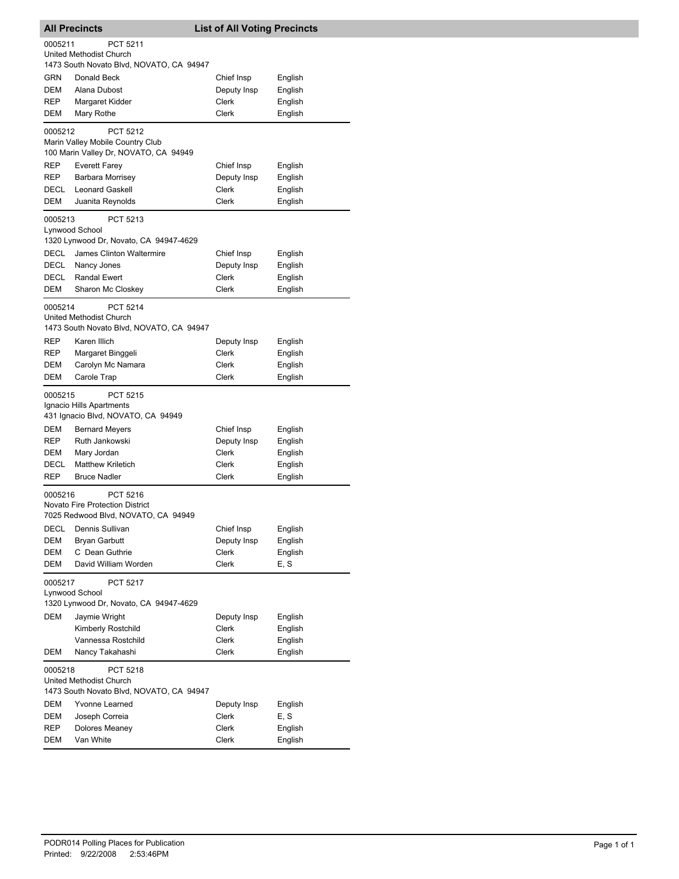|                                          | <b>All Precincts</b>                     | <b>List of All Voting Precincts</b> |         |  |
|------------------------------------------|------------------------------------------|-------------------------------------|---------|--|
| 0005211                                  | PCT 5211                                 |                                     |         |  |
|                                          | <b>United Methodist Church</b>           |                                     |         |  |
|                                          | 1473 South Novato Blvd, NOVATO, CA 94947 |                                     |         |  |
| <b>GRN</b>                               | Donald Beck                              | Chief Insp                          | English |  |
| DEM                                      | Alana Dubost                             | Deputy Insp                         | English |  |
| REP                                      | Margaret Kidder                          | Clerk                               | English |  |
| DEM                                      | Mary Rothe                               | <b>Clerk</b>                        | English |  |
| 0005212                                  | PCT 5212                                 |                                     |         |  |
|                                          | Marin Valley Mobile Country Club         |                                     |         |  |
|                                          | 100 Marin Valley Dr, NOVATO, CA 94949    |                                     |         |  |
| REP                                      | <b>Everett Farey</b>                     | Chief Insp                          | English |  |
| <b>REP</b>                               | Barbara Morrisey                         | Deputy Insp                         | English |  |
| DECL                                     | <b>Leonard Gaskell</b>                   | Clerk                               | English |  |
| DEM                                      | Juanita Reynolds                         | <b>Clerk</b>                        | English |  |
| 0005213                                  | PCT 5213                                 |                                     |         |  |
|                                          | Lynwood School                           |                                     |         |  |
|                                          | 1320 Lynwood Dr, Novato, CA 94947-4629   |                                     |         |  |
| DECL                                     | James Clinton Waltermire                 | Chief Insp                          | English |  |
| DECL                                     | Nancy Jones                              | Deputy Insp                         | English |  |
| DECL                                     | <b>Randal Ewert</b>                      | Clerk                               | English |  |
| DEM                                      | Sharon Mc Closkey                        | Clerk                               | English |  |
| 0005214                                  | PCT 5214                                 |                                     |         |  |
|                                          | <b>United Methodist Church</b>           |                                     |         |  |
|                                          | 1473 South Novato Blvd, NOVATO, CA 94947 |                                     |         |  |
| REP                                      | Karen Illich                             | Deputy Insp                         | English |  |
| REP                                      | Margaret Binggeli                        | Clerk                               | English |  |
| DEM                                      | Carolyn Mc Namara                        | Clerk                               | English |  |
| DEM                                      | Carole Trap                              | Clerk                               | English |  |
| 0005215                                  | PCT 5215                                 |                                     |         |  |
|                                          | Ignacio Hills Apartments                 |                                     |         |  |
|                                          | 431 Ignacio Blvd, NOVATO, CA 94949       |                                     |         |  |
| DEM                                      | <b>Bernard Meyers</b>                    | Chief Insp                          | English |  |
| REP                                      | Ruth Jankowski                           | Deputy Insp                         | English |  |
| DEM                                      | Mary Jordan                              | Clerk                               | English |  |
| DECL                                     | <b>Matthew Kriletich</b>                 | Clerk                               | English |  |
| <b>REP</b>                               | <b>Bruce Nadler</b>                      | Clerk                               | English |  |
| 0005216                                  | PCT 5216                                 |                                     |         |  |
|                                          | <b>Novato Fire Protection District</b>   |                                     |         |  |
|                                          | 7025 Redwood Blvd, NOVATO, CA 94949      |                                     |         |  |
| DECL                                     | Dennis Sullivan                          | Chief Insp                          | English |  |
| DEM                                      | <b>Bryan Garbutt</b>                     | Deputy Insp                         | English |  |
| DEM                                      | C Dean Guthrie                           | Clerk                               | English |  |
| DEM                                      | David William Worden                     | Clerk                               | E, S    |  |
| 0005217                                  | PCT 5217                                 |                                     |         |  |
|                                          | Lynwood School                           |                                     |         |  |
|                                          | 1320 Lynwood Dr, Novato, CA 94947-4629   |                                     |         |  |
| <b>DEM</b>                               | Jaymie Wright                            | Deputy Insp                         | English |  |
|                                          | Kimberly Rostchild                       | Clerk                               | English |  |
|                                          | Vannessa Rostchild                       | Clerk                               | English |  |
| DEM                                      | Nancy Takahashi                          | <b>Clerk</b>                        | English |  |
| 0005218                                  | PCT 5218                                 |                                     |         |  |
| United Methodist Church                  |                                          |                                     |         |  |
| 1473 South Novato Blvd, NOVATO, CA 94947 |                                          |                                     |         |  |
| DEM                                      | Yvonne Learned                           | Deputy Insp                         | English |  |
| DEM                                      | Joseph Correia                           | Clerk                               | E, S    |  |
| REP                                      | Dolores Meaney                           | Clerk                               | English |  |
| DEM                                      | Van White                                | Clerk                               | English |  |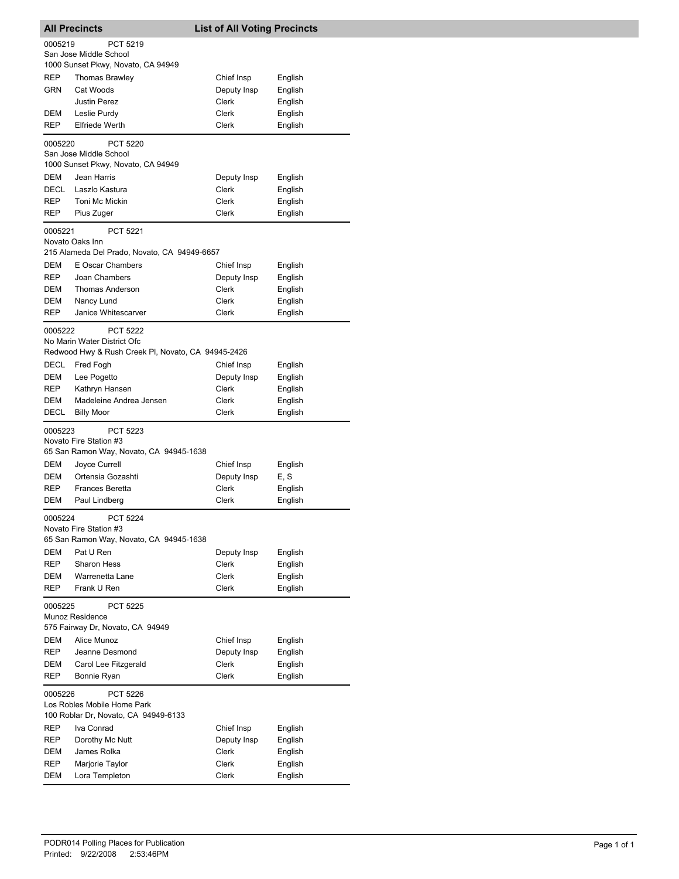|                                                                                                   | <b>All Precincts</b>                                                                                 | <b>List of All Voting Precincts</b> |                    |  |
|---------------------------------------------------------------------------------------------------|------------------------------------------------------------------------------------------------------|-------------------------------------|--------------------|--|
| 0005219                                                                                           | PCT 5219                                                                                             |                                     |                    |  |
|                                                                                                   | San Jose Middle School                                                                               |                                     |                    |  |
|                                                                                                   | 1000 Sunset Pkwy, Novato, CA 94949                                                                   |                                     |                    |  |
| REP                                                                                               | Thomas Brawley                                                                                       | Chief Insp                          | English            |  |
| GRN                                                                                               | Cat Woods                                                                                            | Deputy Insp                         | English            |  |
|                                                                                                   | <b>Justin Perez</b>                                                                                  | Clerk                               | English            |  |
| DEM                                                                                               | Leslie Purdy                                                                                         | Clerk                               | English            |  |
| REP                                                                                               | <b>Elfriede Werth</b>                                                                                | Clerk                               | English            |  |
| 0005220                                                                                           | <b>PCT 5220</b><br>San Jose Middle School<br>1000 Sunset Pkwy, Novato, CA 94949                      |                                     |                    |  |
| DEM                                                                                               | Jean Harris                                                                                          | Deputy Insp                         | English            |  |
| <b>DECL</b>                                                                                       | Laszlo Kastura                                                                                       | Clerk                               | English            |  |
| REP                                                                                               | Toni Mc Mickin                                                                                       | Clerk                               | English            |  |
| REP                                                                                               | Pius Zuger                                                                                           | Clerk                               | English            |  |
| 0005221                                                                                           | <b>PCT 5221</b><br>Novato Oaks Inn                                                                   |                                     |                    |  |
|                                                                                                   | 215 Alameda Del Prado, Novato, CA 94949-6657                                                         |                                     |                    |  |
| DEM                                                                                               | E Oscar Chambers                                                                                     | Chief Insp                          | English            |  |
| <b>REP</b>                                                                                        | Joan Chambers                                                                                        | Deputy Insp                         | English            |  |
| DEM                                                                                               | <b>Thomas Anderson</b>                                                                               | Clerk                               | English            |  |
| DEM                                                                                               | Nancy Lund                                                                                           | Clerk                               | English            |  |
| REP                                                                                               | Janice Whitescarver                                                                                  | Clerk                               | English            |  |
| 0005222                                                                                           | <b>PCT 5222</b><br>No Marin Water District Ofc<br>Redwood Hwy & Rush Creek PI, Novato, CA 94945-2426 |                                     |                    |  |
|                                                                                                   |                                                                                                      |                                     |                    |  |
| DECL                                                                                              | Fred Fogh                                                                                            | Chief Insp                          | English            |  |
| DEM<br><b>REP</b>                                                                                 | Lee Pogetto<br>Kathryn Hansen                                                                        | Deputy Insp<br>Clerk                | English            |  |
| DEM                                                                                               | Madeleine Andrea Jensen                                                                              | Clerk                               | English            |  |
| DECL                                                                                              | <b>Billy Moor</b>                                                                                    | Clerk                               | English<br>English |  |
|                                                                                                   |                                                                                                      |                                     |                    |  |
| 0005223                                                                                           | <b>PCT 5223</b><br>Novato Fire Station #3<br>65 San Ramon Way, Novato, CA 94945-1638                 |                                     |                    |  |
| DEM                                                                                               | Joyce Currell                                                                                        | Chief Insp                          | English            |  |
| DEM                                                                                               | Ortensia Gozashti                                                                                    | Deputy Insp                         | E, S               |  |
| <b>REP</b>                                                                                        | <b>Frances Beretta</b>                                                                               | Clerk                               | English            |  |
| DEM                                                                                               | Paul Lindberg                                                                                        | Clerk                               | English            |  |
| 0005224                                                                                           | PCT 5224<br>Novato Fire Station #3                                                                   |                                     |                    |  |
|                                                                                                   | 65 San Ramon Way, Novato, CA 94945-1638                                                              |                                     |                    |  |
| DEM                                                                                               | Pat U Ren                                                                                            | Deputy Insp                         | English            |  |
| REP                                                                                               | <b>Sharon Hess</b>                                                                                   | Clerk                               | English            |  |
| DEM                                                                                               | Warrenetta Lane                                                                                      | Clerk                               | English            |  |
| REP                                                                                               | Frank U Ren                                                                                          | Clerk                               | English            |  |
| 0005225<br><b>PCT 5225</b><br>Munoz Residence<br>575 Fairway Dr, Novato, CA 94949                 |                                                                                                      |                                     |                    |  |
| DEM                                                                                               | Alice Munoz                                                                                          | Chief Insp                          | English            |  |
| REP                                                                                               | Jeanne Desmond                                                                                       | Deputy Insp                         | English            |  |
| DEM                                                                                               | Carol Lee Fitzgerald                                                                                 | Clerk                               | English            |  |
| REP                                                                                               | Bonnie Ryan                                                                                          | Clerk                               | English            |  |
| 0005226<br><b>PCT 5226</b><br>Los Robles Mobile Home Park<br>100 Roblar Dr, Novato, CA 94949-6133 |                                                                                                      |                                     |                    |  |
| REP                                                                                               | Iva Conrad                                                                                           | Chief Insp                          | English            |  |
| REP                                                                                               | Dorothy Mc Nutt                                                                                      | Deputy Insp                         | English            |  |
| DEM                                                                                               | James Rolka                                                                                          | Clerk                               | English            |  |
| REP                                                                                               | Marjorie Taylor                                                                                      | Clerk                               | English            |  |
| DEM                                                                                               | Lora Templeton                                                                                       | Clerk                               | English            |  |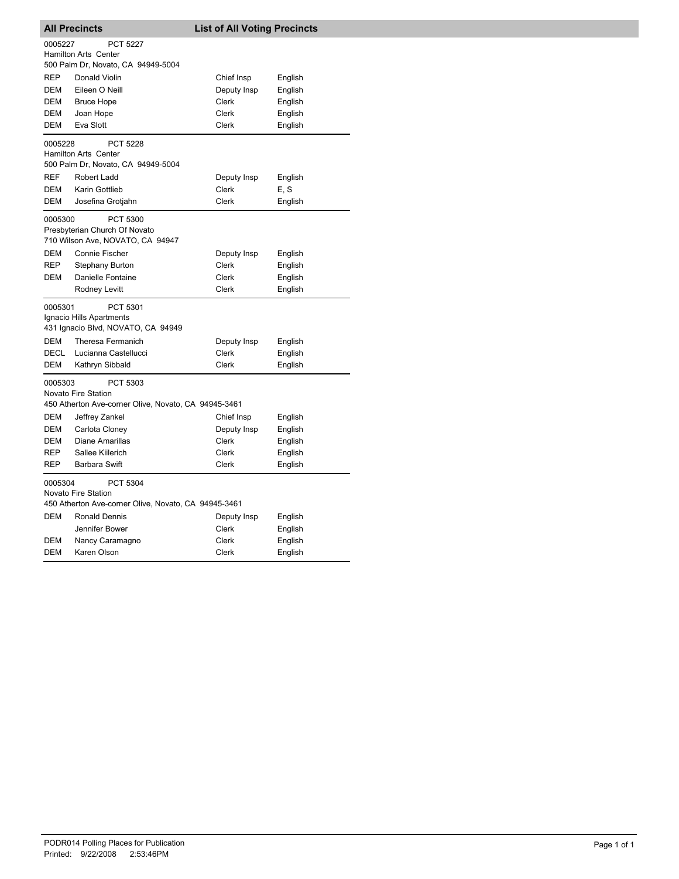| <b>All Precincts</b>                                                                               |                                                                                         | <b>List of All Voting Precincts</b> |         |  |
|----------------------------------------------------------------------------------------------------|-----------------------------------------------------------------------------------------|-------------------------------------|---------|--|
| 0005227                                                                                            | <b>PCT 5227</b>                                                                         |                                     |         |  |
|                                                                                                    | <b>Hamilton Arts Center</b><br>500 Palm Dr, Novato, CA 94949-5004                       |                                     |         |  |
| <b>REP</b>                                                                                         | Donald Violin                                                                           | Chief Insp                          | English |  |
| DEM                                                                                                | Eileen O Neill                                                                          | Deputy Insp                         | English |  |
| DEM                                                                                                | <b>Bruce Hope</b>                                                                       | Clerk                               | English |  |
| DEM                                                                                                | Joan Hope                                                                               | Clerk                               | English |  |
| DEM                                                                                                | Eva Slott                                                                               | Clerk                               | English |  |
| 0005228                                                                                            | <b>PCT 5228</b><br><b>Hamilton Arts Center</b><br>500 Palm Dr, Novato, CA 94949-5004    |                                     |         |  |
| <b>REF</b>                                                                                         | Robert Ladd                                                                             | Deputy Insp                         | English |  |
| <b>DEM</b>                                                                                         | Karin Gottlieb                                                                          | Clerk                               | E, S    |  |
| <b>DEM</b>                                                                                         | Josefina Grotjahn                                                                       | Clerk                               | English |  |
| 0005300                                                                                            | PCT 5300<br>Presbyterian Church Of Novato<br>710 Wilson Ave, NOVATO, CA 94947           |                                     |         |  |
| DEM                                                                                                | <b>Connie Fischer</b>                                                                   | Deputy Insp                         | English |  |
| <b>REP</b>                                                                                         | <b>Stephany Burton</b>                                                                  | Clerk                               | English |  |
| <b>DEM</b>                                                                                         | Danielle Fontaine                                                                       | Clerk                               | English |  |
|                                                                                                    | Rodney Levitt                                                                           | <b>Clerk</b>                        | English |  |
| 0005301                                                                                            | PCT 5301<br>Ignacio Hills Apartments<br>431 Ignacio Blvd, NOVATO, CA 94949              |                                     |         |  |
| DEM                                                                                                | Theresa Fermanich                                                                       | Deputy Insp                         | English |  |
| DECL                                                                                               | Lucianna Castellucci                                                                    | Clerk                               | English |  |
| DEM                                                                                                | Kathryn Sibbald                                                                         | Clerk                               | English |  |
| 0005303                                                                                            | PCT 5303<br>Novato Fire Station<br>450 Atherton Ave-corner Olive, Novato, CA 94945-3461 |                                     |         |  |
| <b>DEM</b>                                                                                         | Jeffrey Zankel                                                                          | Chief Insp                          | English |  |
| <b>DEM</b>                                                                                         | Carlota Cloney                                                                          | Deputy Insp                         | English |  |
| <b>DEM</b>                                                                                         | <b>Diane Amarillas</b>                                                                  | <b>Clerk</b>                        | English |  |
| <b>REP</b>                                                                                         | Sallee Kiilerich                                                                        | <b>Clerk</b>                        | English |  |
| <b>REP</b>                                                                                         | <b>Barbara Swift</b>                                                                    | Clerk                               | English |  |
| 0005304<br>PCT 5304<br>Novato Fire Station<br>450 Atherton Ave-corner Olive, Novato, CA 94945-3461 |                                                                                         |                                     |         |  |
| <b>DEM</b>                                                                                         | <b>Ronald Dennis</b>                                                                    | Deputy Insp                         | English |  |
|                                                                                                    | Jennifer Bower                                                                          | Clerk                               | English |  |
| <b>DEM</b>                                                                                         | Nancy Caramagno                                                                         | <b>Clerk</b>                        | English |  |
| <b>DEM</b>                                                                                         | Karen Olson                                                                             | Clerk                               | English |  |